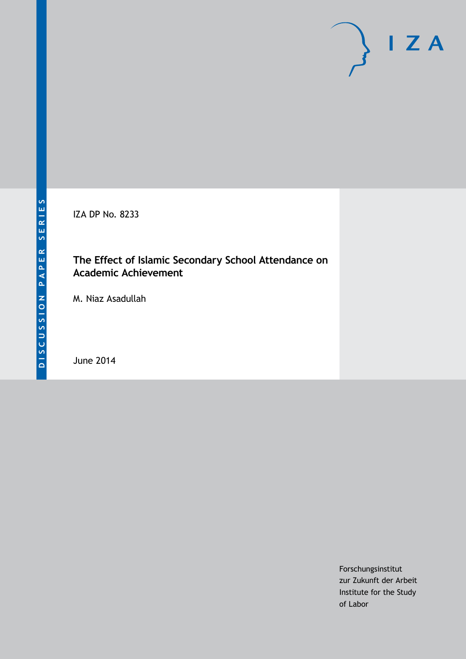IZA DP No. 8233

## **The Effect of Islamic Secondary School Attendance on Academic Achievement**

M. Niaz Asadullah

June 2014

Forschungsinstitut zur Zukunft der Arbeit Institute for the Study of Labor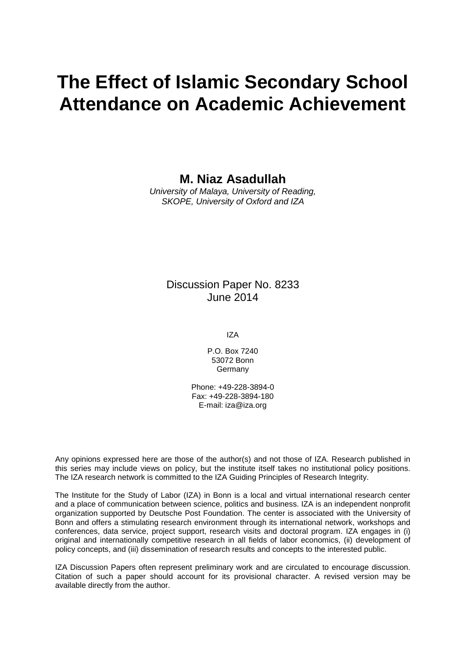# **The Effect of Islamic Secondary School Attendance on Academic Achievement**

**M. Niaz Asadullah**

*University of Malaya, University of Reading, SKOPE, University of Oxford and IZA*

### Discussion Paper No. 8233 June 2014

IZA

P.O. Box 7240 53072 Bonn **Germany** 

Phone: +49-228-3894-0 Fax: +49-228-3894-180 E-mail: [iza@iza.org](mailto:iza@iza.org)

Any opinions expressed here are those of the author(s) and not those of IZA. Research published in this series may include views on policy, but the institute itself takes no institutional policy positions. The IZA research network is committed to the IZA Guiding Principles of Research Integrity.

The Institute for the Study of Labor (IZA) in Bonn is a local and virtual international research center and a place of communication between science, politics and business. IZA is an independent nonprofit organization supported by Deutsche Post Foundation. The center is associated with the University of Bonn and offers a stimulating research environment through its international network, workshops and conferences, data service, project support, research visits and doctoral program. IZA engages in (i) original and internationally competitive research in all fields of labor economics, (ii) development of policy concepts, and (iii) dissemination of research results and concepts to the interested public.

<span id="page-1-0"></span>IZA Discussion Papers often represent preliminary work and are circulated to encourage discussion. Citation of such a paper should account for its provisional character. A revised version may be available directly from the author.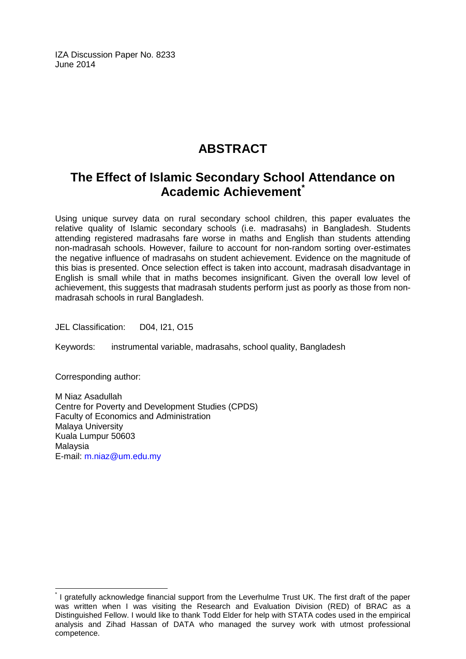IZA Discussion Paper No. 8233 June 2014

# **ABSTRACT**

# **The Effect of Islamic Secondary School Attendance on Academic Achievement[\\*](#page-1-0)**

Using unique survey data on rural secondary school children, this paper evaluates the relative quality of Islamic secondary schools (i.e. madrasahs) in Bangladesh. Students attending registered madrasahs fare worse in maths and English than students attending non-madrasah schools. However, failure to account for non-random sorting over-estimates the negative influence of madrasahs on student achievement. Evidence on the magnitude of this bias is presented. Once selection effect is taken into account, madrasah disadvantage in English is small while that in maths becomes insignificant. Given the overall low level of achievement, this suggests that madrasah students perform just as poorly as those from nonmadrasah schools in rural Bangladesh.

JEL Classification: D04, I21, O15

Keywords: instrumental variable, madrasahs, school quality, Bangladesh

Corresponding author:

M Niaz Asadullah Centre for Poverty and Development Studies (CPDS) Faculty of Economics and Administration Malaya University Kuala Lumpur 50603 Malaysia E-mail: [m.niaz@um.edu.my](mailto:m.niaz@um.edu.my)

\* I gratefully acknowledge financial support from the Leverhulme Trust UK. The first draft of the paper was written when I was visiting the Research and Evaluation Division (RED) of BRAC as a Distinguished Fellow. I would like to thank Todd Elder for help with STATA codes used in the empirical analysis and Zihad Hassan of DATA who managed the survey work with utmost professional competence.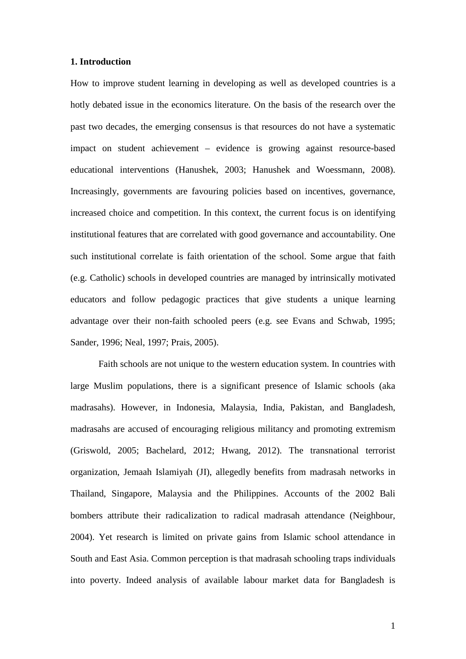#### **1. Introduction**

How to improve student learning in developing as well as developed countries is a hotly debated issue in the economics literature. On the basis of the research over the past two decades, the emerging consensus is that resources do not have a systematic impact on student achievement – evidence is growing against resource-based educational interventions (Hanushek, 2003; Hanushek and Woessmann, 2008). Increasingly, governments are favouring policies based on incentives, governance, increased choice and competition. In this context, the current focus is on identifying institutional features that are correlated with good governance and accountability. One such institutional correlate is faith orientation of the school. Some argue that faith (e.g. Catholic) schools in developed countries are managed by intrinsically motivated educators and follow pedagogic practices that give students a unique learning advantage over their non-faith schooled peers (e.g. see Evans and Schwab, 1995; Sander, 1996; Neal, 1997; Prais, 2005).

Faith schools are not unique to the western education system. In countries with large Muslim populations, there is a significant presence of Islamic schools (aka madrasahs). However, in Indonesia, Malaysia, India, Pakistan, and Bangladesh, madrasahs are accused of encouraging religious militancy and promoting extremism (Griswold, 2005; Bachelard, 2012; Hwang, 2012). The transnational terrorist organization, Jemaah Islamiyah (JI), allegedly benefits from madrasah networks in Thailand, Singapore, Malaysia and the Philippines. Accounts of the 2002 Bali bombers attribute their radicalization to radical madrasah attendance (Neighbour, 2004). Yet research is limited on private gains from Islamic school attendance in South and East Asia. Common perception is that madrasah schooling traps individuals into poverty. Indeed analysis of available labour market data for Bangladesh is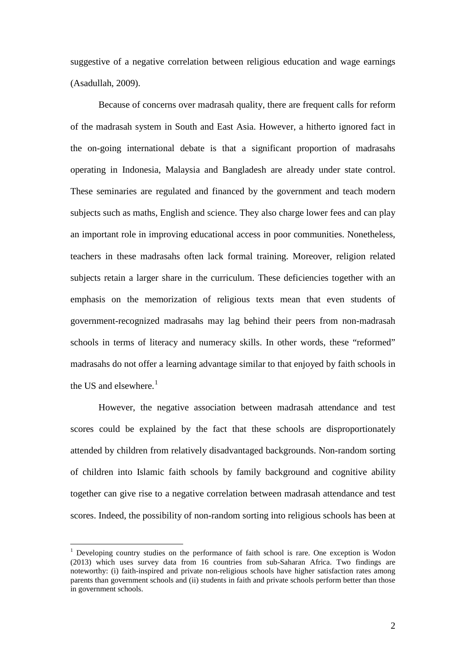suggestive of a negative correlation between religious education and wage earnings (Asadullah, 2009).

Because of concerns over madrasah quality, there are frequent calls for reform of the madrasah system in South and East Asia. However, a hitherto ignored fact in the on-going international debate is that a significant proportion of madrasahs operating in Indonesia, Malaysia and Bangladesh are already under state control. These seminaries are regulated and financed by the government and teach modern subjects such as maths, English and science. They also charge lower fees and can play an important role in improving educational access in poor communities. Nonetheless, teachers in these madrasahs often lack formal training. Moreover, religion related subjects retain a larger share in the curriculum. These deficiencies together with an emphasis on the memorization of religious texts mean that even students of government-recognized madrasahs may lag behind their peers from non-madrasah schools in terms of literacy and numeracy skills. In other words, these "reformed" madrasahs do not offer a learning advantage similar to that enjoyed by faith schools in the US and elsewhere.<sup>1</sup>

However, the negative association between madrasah attendance and test scores could be explained by the fact that these schools are disproportionately attended by children from relatively disadvantaged backgrounds. Non-random sorting of children into Islamic faith schools by family background and cognitive ability together can give rise to a negative correlation between madrasah attendance and test scores. Indeed, the possibility of non-random sorting into religious schools has been at

<span id="page-4-0"></span><sup>&</sup>lt;sup>1</sup> Developing country studies on the performance of faith school is rare. One exception is Wodon (2013) which uses survey data from 16 countries from sub-Saharan Africa. Two findings are noteworthy: (i) faith-inspired and private non-religious schools have higher satisfaction rates among parents than government schools and (ii) students in faith and private schools perform better than those in government schools.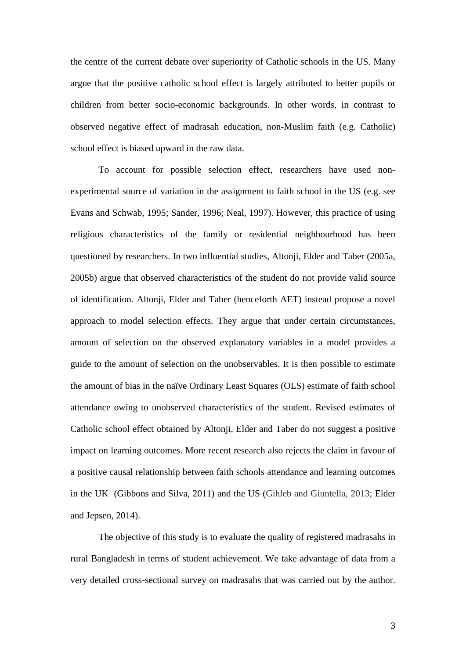the centre of the current debate over superiority of Catholic schools in the US. Many argue that the positive catholic school effect is largely attributed to better pupils or children from better socio-economic backgrounds. In other words, in contrast to observed negative effect of madrasah education, non-Muslim faith (e.g. Catholic) school effect is biased upward in the raw data.

To account for possible selection effect, researchers have used nonexperimental source of variation in the assignment to faith school in the US (e.g. see Evans and Schwab, 1995; Sander, 1996; Neal, 1997). However, this practice of using religious characteristics of the family or residential neighbourhood has been questioned by researchers. In two influential studies, Altonji, Elder and Taber (2005a, 2005b) argue that observed characteristics of the student do not provide valid source of identification. Altonji, Elder and Taber (henceforth AET) instead propose a novel approach to model selection effects. They argue that under certain circumstances, amount of selection on the observed explanatory variables in a model provides a guide to the amount of selection on the unobservables. It is then possible to estimate the amount of bias in the naïve Ordinary Least Squares (OLS) estimate of faith school attendance owing to unobserved characteristics of the student. Revised estimates of Catholic school effect obtained by Altonji, Elder and Taber do not suggest a positive impact on learning outcomes. More recent research also rejects the claim in favour of a positive causal relationship between faith schools attendance and learning outcomes in the UK (Gibbons and Silva, 2011) and the US (Gihleb and Giuntella, 2013; Elder and Jepsen, 2014).

The objective of this study is to evaluate the quality of registered madrasahs in rural Bangladesh in terms of student achievement. We take advantage of data from a very detailed cross-sectional survey on madrasahs that was carried out by the author.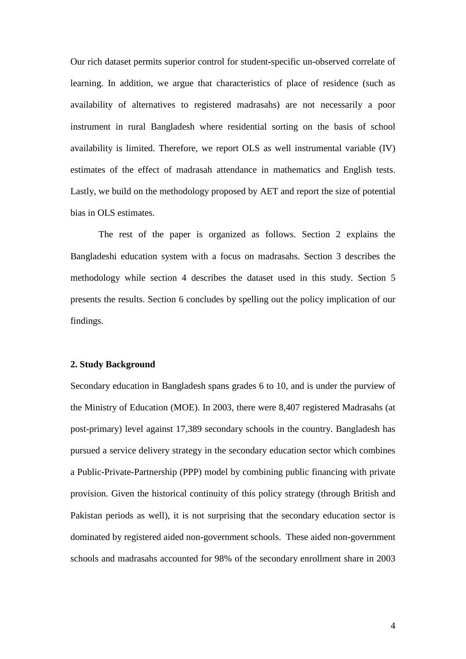Our rich dataset permits superior control for student-specific un-observed correlate of learning. In addition, we argue that characteristics of place of residence (such as availability of alternatives to registered madrasahs) are not necessarily a poor instrument in rural Bangladesh where residential sorting on the basis of school availability is limited. Therefore, we report OLS as well instrumental variable (IV) estimates of the effect of madrasah attendance in mathematics and English tests. Lastly, we build on the methodology proposed by AET and report the size of potential bias in OLS estimates.

The rest of the paper is organized as follows. Section 2 explains the Bangladeshi education system with a focus on madrasahs. Section 3 describes the methodology while section 4 describes the dataset used in this study. Section 5 presents the results. Section 6 concludes by spelling out the policy implication of our findings.

#### **2. Study Background**

Secondary education in Bangladesh spans grades 6 to 10, and is under the purview of the Ministry of Education (MOE). In 2003, there were 8,407 registered Madrasahs (at post-primary) level against 17,389 secondary schools in the country. Bangladesh has pursued a service delivery strategy in the secondary education sector which combines a Public-Private-Partnership (PPP) model by combining public financing with private provision. Given the historical continuity of this policy strategy (through British and Pakistan periods as well), it is not surprising that the secondary education sector is dominated by registered aided non-government schools. These aided non-government schools and madrasahs accounted for 98% of the secondary enrollment share in 2003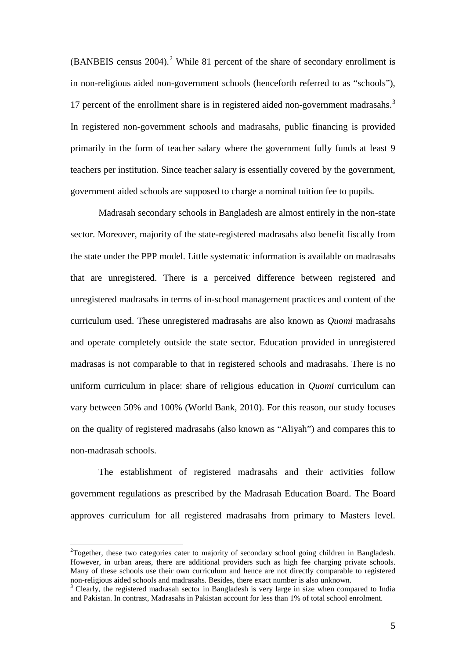$(BANBEIS)$  census [2](#page-4-0)004).<sup>2</sup> While 81 percent of the share of secondary enrollment is in non-religious aided non-government schools (henceforth referred to as "schools"), 17 percent of the enrollment share is in registered aided non-government madrasahs.<sup>[3](#page-7-0)</sup> In registered non-government schools and madrasahs, public financing is provided primarily in the form of teacher salary where the government fully funds at least 9 teachers per institution. Since teacher salary is essentially covered by the government, government aided schools are supposed to charge a nominal tuition fee to pupils.

Madrasah secondary schools in Bangladesh are almost entirely in the non-state sector. Moreover, majority of the state-registered madrasahs also benefit fiscally from the state under the PPP model. Little systematic information is available on madrasahs that are unregistered. There is a perceived difference between registered and unregistered madrasahs in terms of in-school management practices and content of the curriculum used. These unregistered madrasahs are also known as *Quomi* madrasahs and operate completely outside the state sector. Education provided in unregistered madrasas is not comparable to that in registered schools and madrasahs. There is no uniform curriculum in place: share of religious education in *Quomi* curriculum can vary between 50% and 100% (World Bank, 2010). For this reason, our study focuses on the quality of registered madrasahs (also known as "Aliyah") and compares this to non-madrasah schools.

The establishment of registered madrasahs and their activities follow government regulations as prescribed by the Madrasah Education Board. The Board approves curriculum for all registered madrasahs from primary to Masters level.

<span id="page-7-1"></span> $\frac{1}{2}$  $T^2$ Together, these two categories cater to majority of secondary school going children in Bangladesh. However, in urban areas, there are additional providers such as high fee charging private schools. Many of these schools use their own curriculum and hence are not directly comparable to registered non-religious aided schools and madrasahs. Besides, there exact number is also unknown.<br><sup>3</sup> Clearly, the registered madrasah sector in Bangladesh is very large in size when compared to India

<span id="page-7-0"></span>and Pakistan. In contrast, Madrasahs in Pakistan account for less than 1% of total school enrolment.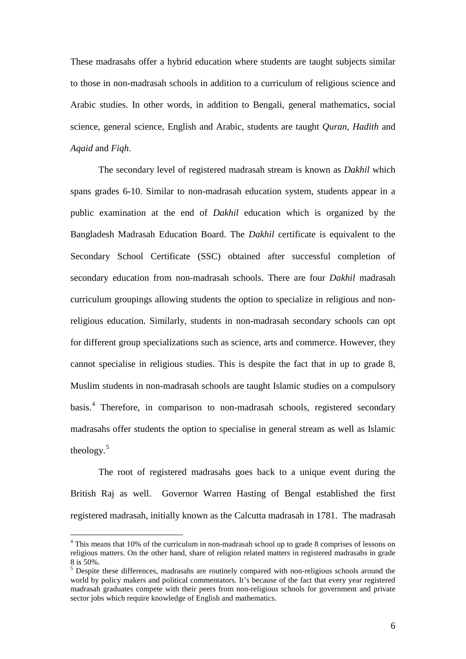These madrasahs offer a hybrid education where students are taught subjects similar to those in non-madrasah schools in addition to a curriculum of religious science and Arabic studies. In other words, in addition to Bengali, general mathematics, social science, general science, English and Arabic, students are taught *Quran*, *Hadith* and *Aqaid* and *Fiqh*.

The secondary level of registered madrasah stream is known as *Dakhil* which spans grades 6-10. Similar to non-madrasah education system, students appear in a public examination at the end of *Dakhil* education which is organized by the Bangladesh Madrasah Education Board. The *Dakhil* certificate is equivalent to the Secondary School Certificate (SSC) obtained after successful completion of secondary education from non-madrasah schools. There are four *Dakhil* madrasah curriculum groupings allowing students the option to specialize in religious and nonreligious education. Similarly, students in non-madrasah secondary schools can opt for different group specializations such as science, arts and commerce. However, they cannot specialise in religious studies. This is despite the fact that in up to grade 8, Muslim students in non-madrasah schools are taught Islamic studies on a compulsory basis. [4](#page-7-1) Therefore, in comparison to non-madrasah schools, registered secondary madrasahs offer students the option to specialise in general stream as well as Islamic theology. [5](#page-8-0)

The root of registered madrasahs goes back to a unique event during the British Raj as well. Governor Warren Hasting of Bengal established the first registered madrasah, initially known as the Calcutta madrasah in 1781. The madrasah

<span id="page-8-1"></span> $4$  This means that 10% of the curriculum in non-madrasah school up to grade 8 comprises of lessons on religious matters. On the other hand, share of religion related matters in registered madrasahs in grade 8 is 50%.

<span id="page-8-0"></span> $5$  Despite these differences, madrasahs are routinely compared with non-religious schools around the world by policy makers and political commentators. It's because of the fact that every year registered madrasah graduates compete with their peers from non-religious schools for government and private sector jobs which require knowledge of English and mathematics.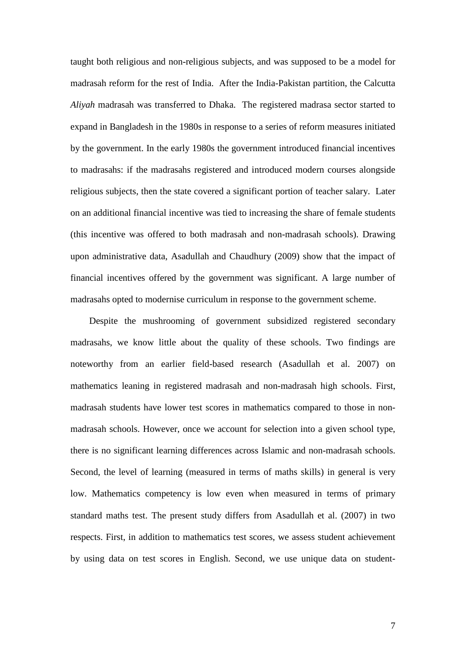taught both religious and non-religious subjects, and was supposed to be a model for madrasah reform for the rest of India. After the India-Pakistan partition, the Calcutta *Aliyah* madrasah was transferred to Dhaka. The registered madrasa sector started to expand in Bangladesh in the 1980s in response to a series of reform measures initiated by the government. In the early 1980s the government introduced financial incentives to madrasahs: if the madrasahs registered and introduced modern courses alongside religious subjects, then the state covered a significant portion of teacher salary. Later on an additional financial incentive was tied to increasing the share of female students (this incentive was offered to both madrasah and non-madrasah schools). Drawing upon administrative data, Asadullah and Chaudhury (2009) show that the impact of financial incentives offered by the government was significant. A large number of madrasahs opted to modernise curriculum in response to the government scheme.

Despite the mushrooming of government subsidized registered secondary madrasahs, we know little about the quality of these schools. Two findings are noteworthy from an earlier field-based research (Asadullah et al. 2007) on mathematics leaning in registered madrasah and non-madrasah high schools. First, madrasah students have lower test scores in mathematics compared to those in nonmadrasah schools. However, once we account for selection into a given school type, there is no significant learning differences across Islamic and non-madrasah schools. Second, the level of learning (measured in terms of maths skills) in general is very low. Mathematics competency is low even when measured in terms of primary standard maths test. The present study differs from Asadullah et al. (2007) in two respects. First, in addition to mathematics test scores, we assess student achievement by using data on test scores in English. Second, we use unique data on student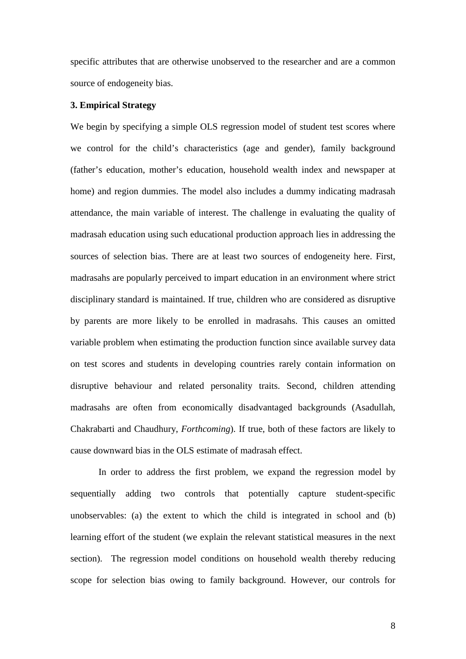specific attributes that are otherwise unobserved to the researcher and are a common source of endogeneity bias.

#### **3. Empirical Strategy**

We begin by specifying a simple OLS regression model of student test scores where we control for the child's characteristics (age and gender), family background (father's education, mother's education, household wealth index and newspaper at home) and region dummies. The model also includes a dummy indicating madrasah attendance, the main variable of interest. The challenge in evaluating the quality of madrasah education using such educational production approach lies in addressing the sources of selection bias. There are at least two sources of endogeneity here. First, madrasahs are popularly perceived to impart education in an environment where strict disciplinary standard is maintained. If true, children who are considered as disruptive by parents are more likely to be enrolled in madrasahs. This causes an omitted variable problem when estimating the production function since available survey data on test scores and students in developing countries rarely contain information on disruptive behaviour and related personality traits. Second, children attending madrasahs are often from economically disadvantaged backgrounds (Asadullah, Chakrabarti and Chaudhury, *Forthcoming*). If true, both of these factors are likely to cause downward bias in the OLS estimate of madrasah effect.

In order to address the first problem, we expand the regression model by sequentially adding two controls that potentially capture student-specific unobservables: (a) the extent to which the child is integrated in school and (b) learning effort of the student (we explain the relevant statistical measures in the next section). The regression model conditions on household wealth thereby reducing scope for selection bias owing to family background. However, our controls for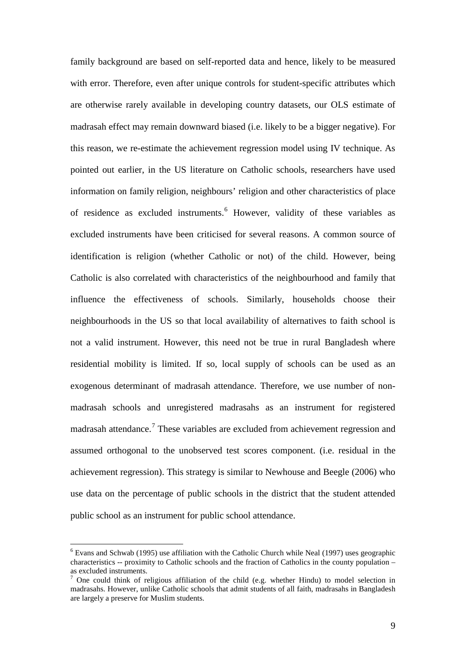family background are based on self-reported data and hence, likely to be measured with error. Therefore, even after unique controls for student-specific attributes which are otherwise rarely available in developing country datasets, our OLS estimate of madrasah effect may remain downward biased (i.e. likely to be a bigger negative). For this reason, we re-estimate the achievement regression model using IV technique. As pointed out earlier, in the US literature on Catholic schools, researchers have used information on family religion, neighbours' religion and other characteristics of place of residence as excluded instruments. [6](#page-8-1) However, validity of these variables as excluded instruments have been criticised for several reasons. A common source of identification is religion (whether Catholic or not) of the child. However, being Catholic is also correlated with characteristics of the neighbourhood and family that influence the effectiveness of schools. Similarly, households choose their neighbourhoods in the US so that local availability of alternatives to faith school is not a valid instrument. However, this need not be true in rural Bangladesh where residential mobility is limited. If so, local supply of schools can be used as an exogenous determinant of madrasah attendance. Therefore, we use number of nonmadrasah schools and unregistered madrasahs as an instrument for registered madrasah attendance.<sup>[7](#page-11-0)</sup> These variables are excluded from achievement regression and assumed orthogonal to the unobserved test scores component. (i.e. residual in the achievement regression). This strategy is similar to Newhouse and Beegle (2006) who use data on the percentage of public schools in the district that the student attended public school as an instrument for public school attendance.

 $6$  Evans and Schwab (1995) use affiliation with the Catholic Church while Neal (1997) uses geographic characteristics -- proximity to Catholic schools and the fraction of Catholics in the county population  $$ as excluded instruments.

<span id="page-11-1"></span><span id="page-11-0"></span> $<sup>7</sup>$  One could think of religious affiliation of the child (e.g. whether Hindu) to model selection in</sup> madrasahs. However, unlike Catholic schools that admit students of all faith, madrasahs in Bangladesh are largely a preserve for Muslim students.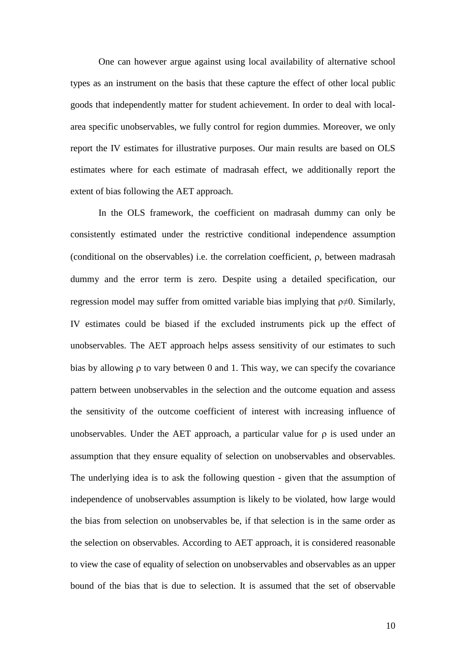One can however argue against using local availability of alternative school types as an instrument on the basis that these capture the effect of other local public goods that independently matter for student achievement. In order to deal with localarea specific unobservables, we fully control for region dummies. Moreover, we only report the IV estimates for illustrative purposes. Our main results are based on OLS estimates where for each estimate of madrasah effect, we additionally report the extent of bias following the AET approach.

In the OLS framework, the coefficient on madrasah dummy can only be consistently estimated under the restrictive conditional independence assumption (conditional on the observables) i.e. the correlation coefficient, ρ, between madrasah dummy and the error term is zero. Despite using a detailed specification, our regression model may suffer from omitted variable bias implying that  $\rho \neq 0$ . Similarly, IV estimates could be biased if the excluded instruments pick up the effect of unobservables. The AET approach helps assess sensitivity of our estimates to such bias by allowing ρ to vary between 0 and 1. This way, we can specify the covariance pattern between unobservables in the selection and the outcome equation and assess the sensitivity of the outcome coefficient of interest with increasing influence of unobservables. Under the AET approach, a particular value for  $\rho$  is used under an assumption that they ensure equality of selection on unobservables and observables. The underlying idea is to ask the following question - given that the assumption of independence of unobservables assumption is likely to be violated, how large would the bias from selection on unobservables be, if that selection is in the same order as the selection on observables. According to AET approach, it is considered reasonable to view the case of equality of selection on unobservables and observables as an upper bound of the bias that is due to selection. It is assumed that the set of observable

10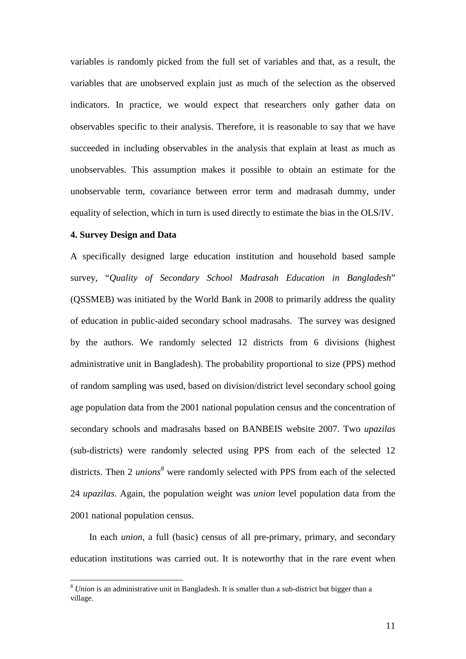variables is randomly picked from the full set of variables and that, as a result, the variables that are unobserved explain just as much of the selection as the observed indicators. In practice, we would expect that researchers only gather data on observables specific to their analysis. Therefore, it is reasonable to say that we have succeeded in including observables in the analysis that explain at least as much as unobservables. This assumption makes it possible to obtain an estimate for the unobservable term, covariance between error term and madrasah dummy, under equality of selection, which in turn is used directly to estimate the bias in the OLS/IV.

#### **4. Survey Design and Data**

A specifically designed large education institution and household based sample survey, "*Quality of Secondary School Madrasah Education in Bangladesh*" (QSSMEB) was initiated by the World Bank in 2008 to primarily address the quality of education in public-aided secondary school madrasahs. The survey was designed by the authors. We randomly selected 12 districts from 6 divisions (highest administrative unit in Bangladesh). The probability proportional to size (PPS) method of random sampling was used, based on division/district level secondary school going age population data from the 2001 national population census and the concentration of secondary schools and madrasahs based on BANBEIS website 2007. Two *upazilas* (sub-districts) were randomly selected using PPS from each of the selected 12 districts. Then 2 *unions[8](#page-11-1)* were randomly selected with PPS from each of the selected 24 *upazilas*. Again, the population weight was *union* level population data from the 2001 national population census.

In each *union*, a full (basic) census of all pre-primary, primary, and secondary education institutions was carried out. It is noteworthy that in the rare event when

<span id="page-13-0"></span> <sup>8</sup> *Union* is an administrative unit in Bangladesh. It is smaller than a sub-district but bigger than a village.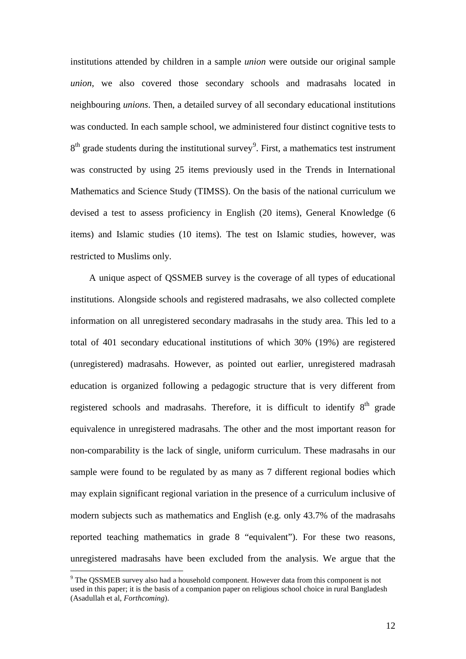institutions attended by children in a sample *union* were outside our original sample *union*, we also covered those secondary schools and madrasahs located in neighbouring *unions*. Then, a detailed survey of all secondary educational institutions was conducted. In each sample school, we administered four distinct cognitive tests to  $8<sup>th</sup>$  grade students during the institutional survey<sup>[9](#page-13-0)</sup>. First, a mathematics test instrument was constructed by using 25 items previously used in the Trends in International Mathematics and Science Study (TIMSS). On the basis of the national curriculum we devised a test to assess proficiency in English (20 items), General Knowledge (6 items) and Islamic studies (10 items). The test on Islamic studies, however, was restricted to Muslims only.

A unique aspect of QSSMEB survey is the coverage of all types of educational institutions. Alongside schools and registered madrasahs, we also collected complete information on all unregistered secondary madrasahs in the study area. This led to a total of 401 secondary educational institutions of which 30% (19%) are registered (unregistered) madrasahs. However, as pointed out earlier, unregistered madrasah education is organized following a pedagogic structure that is very different from registered schools and madrasahs. Therefore, it is difficult to identify  $8<sup>th</sup>$  grade equivalence in unregistered madrasahs. The other and the most important reason for non-comparability is the lack of single, uniform curriculum. These madrasahs in our sample were found to be regulated by as many as 7 different regional bodies which may explain significant regional variation in the presence of a curriculum inclusive of modern subjects such as mathematics and English (e.g. only 43.7% of the madrasahs reported teaching mathematics in grade 8 "equivalent"). For these two reasons, unregistered madrasahs have been excluded from the analysis. We argue that the

<span id="page-14-0"></span> <sup>9</sup> The QSSMEB survey also had a household component. However data from this component is not used in this paper; it is the basis of a companion paper on religious school choice in rural Bangladesh (Asadullah et al, *Forthcoming*).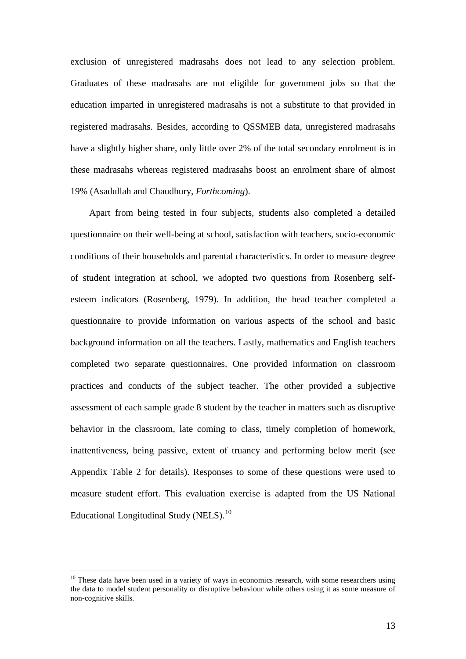exclusion of unregistered madrasahs does not lead to any selection problem. Graduates of these madrasahs are not eligible for government jobs so that the education imparted in unregistered madrasahs is not a substitute to that provided in registered madrasahs. Besides, according to QSSMEB data, unregistered madrasahs have a slightly higher share, only little over 2% of the total secondary enrolment is in these madrasahs whereas registered madrasahs boost an enrolment share of almost 19% (Asadullah and Chaudhury, *Forthcoming*).

Apart from being tested in four subjects, students also completed a detailed questionnaire on their well-being at school, satisfaction with teachers, socio-economic conditions of their households and parental characteristics. In order to measure degree of student integration at school, we adopted two questions from Rosenberg selfesteem indicators (Rosenberg, 1979). In addition, the head teacher completed a questionnaire to provide information on various aspects of the school and basic background information on all the teachers. Lastly, mathematics and English teachers completed two separate questionnaires. One provided information on classroom practices and conducts of the subject teacher. The other provided a subjective assessment of each sample grade 8 student by the teacher in matters such as disruptive behavior in the classroom, late coming to class, timely completion of homework, inattentiveness, being passive, extent of truancy and performing below merit (see Appendix Table 2 for details). Responses to some of these questions were used to measure student effort. This evaluation exercise is adapted from the US National Educational Longitudinal Study (NELS).<sup>[10](#page-14-0)</sup>

<span id="page-15-0"></span> $10$  These data have been used in a variety of ways in economics research, with some researchers using the data to model student personality or disruptive behaviour while others using it as some measure of non-cognitive skills.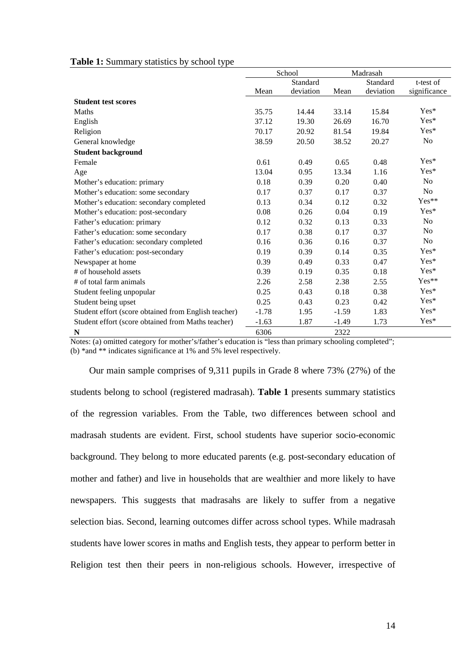|                                                      | School  |           | Madrasah |           |                |
|------------------------------------------------------|---------|-----------|----------|-----------|----------------|
|                                                      |         | Standard  |          | Standard  | t-test of      |
|                                                      | Mean    | deviation | Mean     | deviation | significance   |
| <b>Student test scores</b>                           |         |           |          |           |                |
| Maths                                                | 35.75   | 14.44     | 33.14    | 15.84     | $Yes*$         |
| English                                              | 37.12   | 19.30     | 26.69    | 16.70     | Yes*           |
| Religion                                             | 70.17   | 20.92     | 81.54    | 19.84     | $Yes*$         |
| General knowledge                                    | 38.59   | 20.50     | 38.52    | 20.27     | N <sub>o</sub> |
| <b>Student background</b>                            |         |           |          |           |                |
| Female                                               | 0.61    | 0.49      | 0.65     | 0.48      | Yes*           |
| Age                                                  | 13.04   | 0.95      | 13.34    | 1.16      | Yes*           |
| Mother's education: primary                          | 0.18    | 0.39      | 0.20     | 0.40      | N <sub>o</sub> |
| Mother's education: some secondary                   | 0.17    | 0.37      | 0.17     | 0.37      | N <sub>o</sub> |
| Mother's education: secondary completed              | 0.13    | 0.34      | 0.12     | 0.32      | Yes**          |
| Mother's education: post-secondary                   | 0.08    | 0.26      | 0.04     | 0.19      | $Yes*$         |
| Father's education: primary                          | 0.12    | 0.32      | 0.13     | 0.33      | N <sub>o</sub> |
| Father's education: some secondary                   | 0.17    | 0.38      | 0.17     | 0.37      | N <sub>o</sub> |
| Father's education: secondary completed              | 0.16    | 0.36      | 0.16     | 0.37      | N <sub>o</sub> |
| Father's education: post-secondary                   | 0.19    | 0.39      | 0.14     | 0.35      | Yes*           |
| Newspaper at home                                    | 0.39    | 0.49      | 0.33     | 0.47      | Yes*           |
| # of household assets                                | 0.39    | 0.19      | 0.35     | 0.18      | Yes*           |
| # of total farm animals                              | 2.26    | 2.58      | 2.38     | 2.55      | Yes**          |
| Student feeling unpopular                            | 0.25    | 0.43      | 0.18     | 0.38      | Yes*           |
| Student being upset                                  | 0.25    | 0.43      | 0.23     | 0.42      | Yes*           |
| Student effort (score obtained from English teacher) | $-1.78$ | 1.95      | $-1.59$  | 1.83      | Yes*           |
| Student effort (score obtained from Maths teacher)   | $-1.63$ | 1.87      | $-1.49$  | 1.73      | Yes*           |
| N                                                    | 6306    |           | 2322     |           |                |

#### **Table 1:** Summary statistics by school type

Notes: (a) omitted category for mother's/father's education is "less than primary schooling completed"; (b) \*and \*\* indicates significance at 1% and 5% level respectively.

Our main sample comprises of 9,311 pupils in Grade 8 where 73% (27%) of the students belong to school (registered madrasah). **Table 1** presents summary statistics of the regression variables. From the Table, two differences between school and madrasah students are evident. First, school students have superior socio-economic background. They belong to more educated parents (e.g. post-secondary education of mother and father) and live in households that are wealthier and more likely to have newspapers. This suggests that madrasahs are likely to suffer from a negative selection bias. Second, learning outcomes differ across school types. While madrasah students have lower scores in maths and English tests, they appear to perform better in Religion test then their peers in non-religious schools. However, irrespective of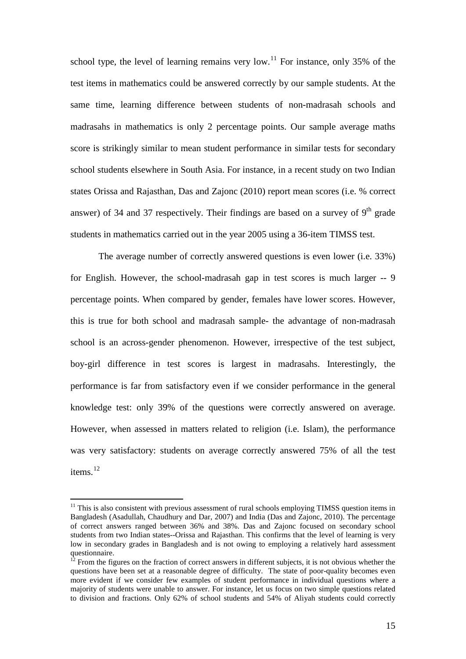school type, the level of learning remains very low.<sup>[11](#page-15-0)</sup> For instance, only 35% of the test items in mathematics could be answered correctly by our sample students. At the same time, learning difference between students of non-madrasah schools and madrasahs in mathematics is only 2 percentage points. Our sample average maths score is strikingly similar to mean student performance in similar tests for secondary school students elsewhere in South Asia. For instance, in a recent study on two Indian states Orissa and Rajasthan, Das and Zajonc (2010) report mean scores (i.e. % correct answer) of 34 and 37 respectively. Their findings are based on a survey of  $9<sup>th</sup>$  grade students in mathematics carried out in the year 2005 using a 36-item TIMSS test.

The average number of correctly answered questions is even lower (i.e. 33%) for English. However, the school-madrasah gap in test scores is much larger -- 9 percentage points. When compared by gender, females have lower scores. However, this is true for both school and madrasah sample- the advantage of non-madrasah school is an across-gender phenomenon. However, irrespective of the test subject, boy-girl difference in test scores is largest in madrasahs. Interestingly, the performance is far from satisfactory even if we consider performance in the general knowledge test: only 39% of the questions were correctly answered on average. However, when assessed in matters related to religion (i.e. Islam), the performance was very satisfactory: students on average correctly answered 75% of all the test items. [12](#page-17-0)

<span id="page-17-1"></span> $11$  This is also consistent with previous assessment of rural schools employing TIMSS question items in Bangladesh (Asadullah, Chaudhury and Dar, 2007) and India (Das and Zajonc, 2010). The percentage of correct answers ranged between 36% and 38%. Das and Zajonc focused on secondary school students from two Indian states--Orissa and Rajasthan. This confirms that the level of learning is very low in secondary grades in Bangladesh and is not owing to employing a relatively hard assessment

<span id="page-17-0"></span>questionnaire.  $12$  From the figures on the fraction of correct answers in different subjects, it is not obvious whether the  $\frac{12}{10}$ questions have been set at a reasonable degree of difficulty. The state of poor-quality becomes even more evident if we consider few examples of student performance in individual questions where a majority of students were unable to answer. For instance, let us focus on two simple questions related to division and fractions. Only 62% of school students and 54% of Aliyah students could correctly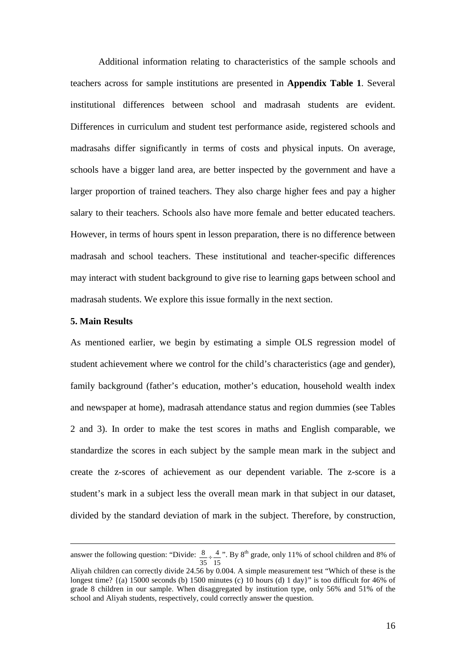Additional information relating to characteristics of the sample schools and teachers across for sample institutions are presented in **Appendix Table 1**. Several institutional differences between school and madrasah students are evident. Differences in curriculum and student test performance aside, registered schools and madrasahs differ significantly in terms of costs and physical inputs. On average, schools have a bigger land area, are better inspected by the government and have a larger proportion of trained teachers. They also charge higher fees and pay a higher salary to their teachers. Schools also have more female and better educated teachers. However, in terms of hours spent in lesson preparation, there is no difference between madrasah and school teachers. These institutional and teacher-specific differences may interact with student background to give rise to learning gaps between school and madrasah students. We explore this issue formally in the next section.

#### **5. Main Results**

-

As mentioned earlier, we begin by estimating a simple OLS regression model of student achievement where we control for the child's characteristics (age and gender), family background (father's education, mother's education, household wealth index and newspaper at home), madrasah attendance status and region dummies (see Tables 2 and 3). In order to make the test scores in maths and English comparable, we standardize the scores in each subject by the sample mean mark in the subject and create the z-scores of achievement as our dependent variable. The z-score is a student's mark in a subject less the overall mean mark in that subject in our dataset, divided by the standard deviation of mark in the subject. Therefore, by construction,

answer the following question: "Divide: 15 4  $\frac{8}{35}$   $\div$   $\frac{4}{15}$ ". By 8<sup>th</sup> grade, only 11% of school children and 8% of

Aliyah children can correctly divide 24.56 by 0.004. A simple measurement test "Which of these is the longest time? {(a) 15000 seconds (b) 1500 minutes (c) 10 hours (d) 1 day}" is too difficult for 46% of grade 8 children in our sample. When disaggregated by institution type, only 56% and 51% of the school and Aliyah students, respectively, could correctly answer the question.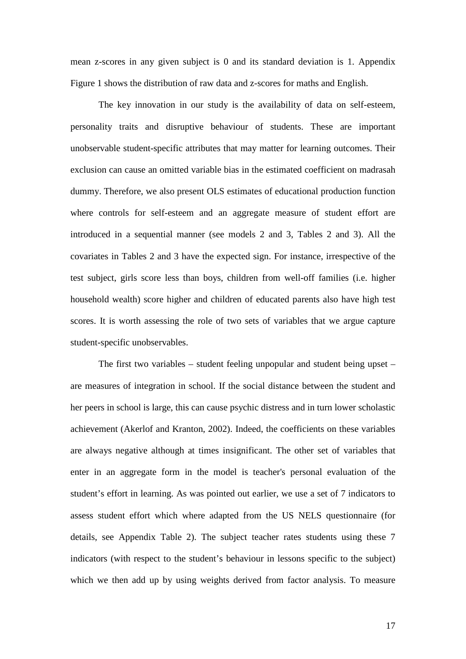mean z-scores in any given subject is 0 and its standard deviation is 1. Appendix Figure 1 shows the distribution of raw data and z-scores for maths and English.

The key innovation in our study is the availability of data on self-esteem, personality traits and disruptive behaviour of students. These are important unobservable student-specific attributes that may matter for learning outcomes. Their exclusion can cause an omitted variable bias in the estimated coefficient on madrasah dummy. Therefore, we also present OLS estimates of educational production function where controls for self-esteem and an aggregate measure of student effort are introduced in a sequential manner (see models 2 and 3, Tables 2 and 3). All the covariates in Tables 2 and 3 have the expected sign. For instance, irrespective of the test subject, girls score less than boys, children from well-off families (i.e. higher household wealth) score higher and children of educated parents also have high test scores. It is worth assessing the role of two sets of variables that we argue capture student-specific unobservables.

The first two variables – student feeling unpopular and student being upset – are measures of integration in school. If the social distance between the student and her peers in school is large, this can cause psychic distress and in turn lower scholastic achievement (Akerlof and Kranton, 2002). Indeed, the coefficients on these variables are always negative although at times insignificant. The other set of variables that enter in an aggregate form in the model is teacher's personal evaluation of the student's effort in learning. As was pointed out earlier, we use a set of 7 indicators to assess student effort which where adapted from the US NELS questionnaire (for details, see Appendix Table 2). The subject teacher rates students using these 7 indicators (with respect to the student's behaviour in lessons specific to the subject) which we then add up by using weights derived from factor analysis. To measure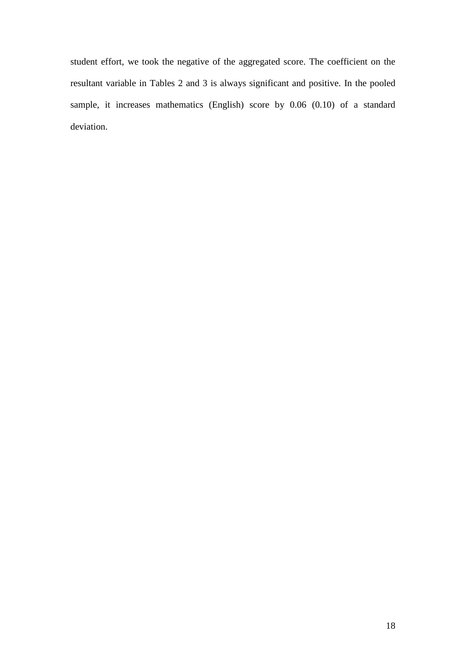student effort, we took the negative of the aggregated score. The coefficient on the resultant variable in Tables 2 and 3 is always significant and positive. In the pooled sample, it increases mathematics (English) score by 0.06 (0.10) of a standard deviation.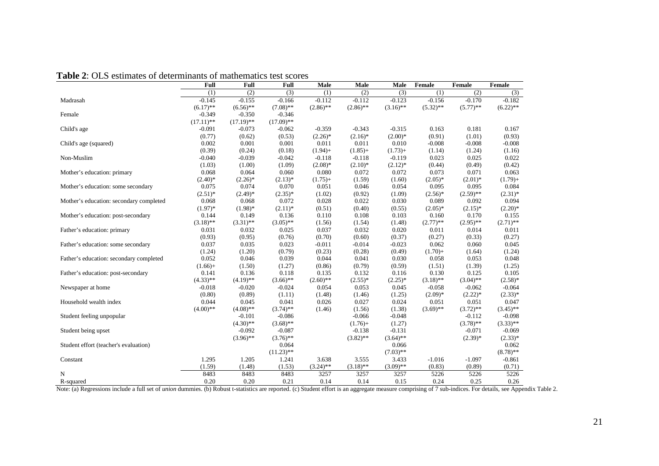| 1 AVIV 2.<br>estimates of determination of mathematics test secres | Full         | Full         | <b>Full</b>  | Male        | Male        | <b>Male</b> | Female      | Female      | Female          |
|--------------------------------------------------------------------|--------------|--------------|--------------|-------------|-------------|-------------|-------------|-------------|-----------------|
|                                                                    | (1)          | (2)          | (3)          | (1)         | (2)         | (3)         | (1)         | (2)         | $\overline{3)}$ |
| Madrasah                                                           | $-0.145$     | $-0.155$     | $-0.166$     | $-0.112$    | $-0.112$    | $-0.123$    | $-0.156$    | $-0.170$    | $-0.182$        |
|                                                                    | $(6.17)$ **  | $(6.56)$ **  | $(7.08)$ **  | $(2.86)$ ** | $(2.86)$ ** | $(3.16)$ ** | $(5.32)$ ** | $(5.77)$ ** | $(6.22)$ **     |
| Female                                                             | $-0.349$     | $-0.350$     | $-0.346$     |             |             |             |             |             |                 |
|                                                                    | $(17.11)$ ** | $(17.19)$ ** | $(17.09)$ ** |             |             |             |             |             |                 |
| Child's age                                                        | $-0.091$     | $-0.073$     | $-0.062$     | $-0.359$    | $-0.343$    | $-0.315$    | 0.163       | 0.181       | 0.167           |
|                                                                    | (0.77)       | (0.62)       | (0.53)       | $(2.26)^*$  | $(2.16)^*$  | $(2.00)*$   | (0.91)      | (1.01)      | (0.93)          |
| Child's age (squared)                                              | 0.002        | 0.001        | 0.001        | 0.011       | 0.011       | 0.010       | $-0.008$    | $-0.008$    | $-0.008$        |
|                                                                    | (0.39)       | (0.24)       | (0.18)       | $(1.94) +$  | $(1.85) +$  | $(1.73) +$  | (1.14)      | (1.24)      | (1.16)          |
| Non-Muslim                                                         | $-0.040$     | $-0.039$     | $-0.042$     | $-0.118$    | $-0.118$    | $-0.119$    | 0.023       | 0.025       | 0.022           |
|                                                                    | (1.03)       | (1.00)       | (1.09)       | $(2.08)*$   | $(2.10)*$   | $(2.12)^*$  | (0.44)      | (0.49)      | (0.42)          |
| Mother's education: primary                                        | 0.068        | 0.064        | 0.060        | 0.080       | 0.072       | 0.072       | 0.073       | 0.071       | 0.063           |
|                                                                    | $(2.40)$ *   | $(2.26)^*$   | $(2.13)*$    | $(1.75) +$  | (1.59)      | (1.60)      | $(2.05)*$   | $(2.01)^*$  | $(1.79) +$      |
| Mother's education: some secondary                                 | 0.075        | 0.074        | 0.070        | 0.051       | 0.046       | 0.054       | 0.095       | 0.095       | 0.084           |
|                                                                    | $(2.51)^*$   | $(2.49)*$    | $(2.35)^*$   | (1.02)      | (0.92)      | (1.09)      | $(2.56)*$   | $(2.59)$ ** | $(2.31)^*$      |
| Mother's education: secondary completed                            | 0.068        | 0.068        | 0.072        | 0.028       | 0.022       | 0.030       | 0.089       | 0.092       | 0.094           |
|                                                                    | $(1.97)$ *   | $(1.98)$ *   | $(2.11)*$    | (0.51)      | (0.40)      | (0.55)      | $(2.05)*$   | $(2.15)^*$  | $(2.20)$ *      |
| Mother's education: post-secondary                                 | 0.144        | 0.149        | 0.136        | 0.110       | 0.108       | 0.103       | 0.160       | 0.170       | 0.155           |
|                                                                    | $(3.18)$ **  | $(3.31)$ **  | $(3.05)$ **  | (1.56)      | (1.54)      | (1.48)      | $(2.77)$ ** | $(2.95)$ ** | $(2.71)$ **     |
| Father's education: primary                                        | 0.031        | 0.032        | 0.025        | 0.037       | 0.032       | 0.020       | 0.011       | 0.014       | 0.011           |
|                                                                    | (0.93)       | (0.95)       | (0.76)       | (0.70)      | (0.60)      | (0.37)      | (0.27)      | (0.33)      | (0.27)          |
| Father's education: some secondary                                 | 0.037        | 0.035        | 0.023        | $-0.011$    | $-0.014$    | $-0.023$    | 0.062       | 0.060       | 0.045           |
|                                                                    | (1.24)       | (1.20)       | (0.79)       | (0.23)      | (0.28)      | (0.49)      | $(1.70) +$  | (1.64)      | (1.24)          |
| Father's education: secondary completed                            | 0.052        | 0.046        | 0.039        | 0.044       | 0.041       | 0.030       | 0.058       | 0.053       | 0.048           |
|                                                                    | $(1.66) +$   | (1.50)       | (1.27)       | (0.86)      | (0.79)      | (0.59)      | (1.51)      | (1.39)      | (1.25)          |
| Father's education: post-secondary                                 | 0.141        | 0.136        | 0.118        | 0.135       | 0.132       | 0.116       | 0.130       | 0.125       | 0.105           |
|                                                                    | $(4.33)$ **  | $(4.19)$ **  | $(3.66)$ **  | $(2.60)$ ** | $(2.55)*$   | $(2.25)*$   | $(3.18)$ ** | $(3.04)$ ** | $(2.58)$ *      |
| Newspaper at home                                                  | $-0.018$     | $-0.020$     | $-0.024$     | 0.054       | 0.053       | 0.045       | $-0.058$    | $-0.062$    | $-0.064$        |
|                                                                    | (0.80)       | (0.89)       | (1.11)       | (1.48)      | (1.46)      | (1.25)      | $(2.09)*$   | $(2.22)*$   | $(2.33)*$       |
| Household wealth index                                             | 0.044        | 0.045        | 0.041        | 0.026       | 0.027       | 0.024       | 0.051       | 0.051       | 0.047           |
|                                                                    | $(4.00)$ **  | $(4.08)$ **  | $(3.74)$ **  | (1.46)      | (1.56)      | (1.38)      | $(3.69)$ ** | $(3.72)$ ** | $(3.45)$ **     |
| Student feeling unpopular                                          |              | $-0.101$     | $-0.086$     |             | $-0.066$    | $-0.048$    |             | $-0.112$    | $-0.098$        |
|                                                                    |              | $(4.30)$ **  | $(3.68)$ **  |             | $(1.76) +$  | (1.27)      |             | $(3.78)$ ** | $(3.33)$ **     |
| Student being upset                                                |              | $-0.092$     | $-0.087$     |             | $-0.138$    | $-0.131$    |             | $-0.071$    | $-0.069$        |
|                                                                    |              | $(3.96)$ **  | $(3.76)$ **  |             | $(3.82)$ ** | $(3.64)$ ** |             | $(2.39)*$   | $(2.33)*$       |
| Student effort (teacher's evaluation)                              |              |              | 0.064        |             |             | 0.066       |             |             | 0.062           |
|                                                                    |              |              | $(11.23)$ ** |             |             | $(7.03)$ ** |             |             | $(8.78)$ **     |
| Constant                                                           | 1.295        | 1.205        | 1.241        | 3.638       | 3.555       | 3.433       | $-1.016$    | $-1.097$    | $-0.861$        |
|                                                                    | (1.59)       | (1.48)       | (1.53)       | $(3.24)$ ** | $(3.18)$ ** | $(3.09)$ ** | (0.83)      | (0.89)      | (0.71)          |
| N                                                                  | 8483         | 8483         | 8483         | 3257        | 3257        | 3257        | 5226        | 5226        | 5226            |
| R-squared                                                          | 0.20         | 0.20         | 0.21         | 0.14        | 0.14        | 0.15        | 0.24        | 0.25        | 0.26            |

**Table 2**: OLS estimates of determinants of mathematics test scores

Note: (a) Regressions include a full set of *union* dummies. (b) Robust t-statistics are reported. (c) Student effort is an aggregate measure comprising of 7 sub-indices. For details, see Appendix Table 2.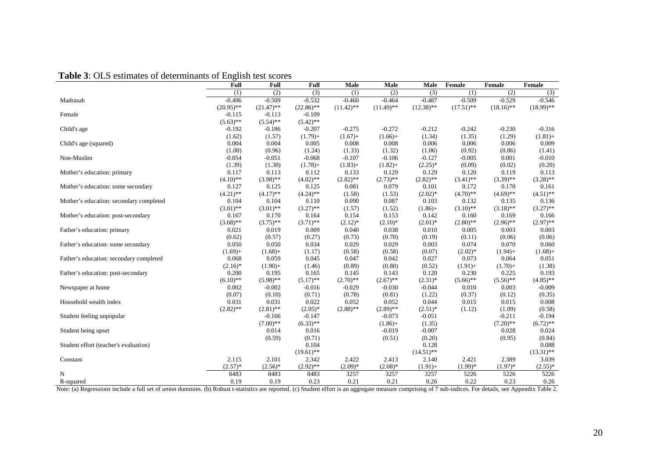| <b>Table 3:</b> OLS estimates of determinants of English test scores |  |  |  |  |  |
|----------------------------------------------------------------------|--|--|--|--|--|
|----------------------------------------------------------------------|--|--|--|--|--|

|                                                                                                                                                                                                                                 | Full         | <b>Full</b>  | Full         | Male         | Male         | Male         | Female       | Female       | Female       |
|---------------------------------------------------------------------------------------------------------------------------------------------------------------------------------------------------------------------------------|--------------|--------------|--------------|--------------|--------------|--------------|--------------|--------------|--------------|
|                                                                                                                                                                                                                                 | (1)          | (2)          | (3)          | (1)          | (2)          | (3)          | (1)          | (2)          | (3)          |
| Madrasah                                                                                                                                                                                                                        | $-0.496$     | $-0.509$     | $-0.532$     | $-0.460$     | $-0.464$     | $-0.487$     | $-0.509$     | $-0.529$     | $-0.546$     |
|                                                                                                                                                                                                                                 | $(20.95)$ ** | $(21.47)$ ** | $(22.86)$ ** | $(11.42)$ ** | $(11.49)$ ** | $(12.38)$ ** | $(17.51)$ ** | $(18.16)$ ** | $(18.99)$ ** |
| Female                                                                                                                                                                                                                          | $-0.115$     | $-0.113$     | $-0.109$     |              |              |              |              |              |              |
|                                                                                                                                                                                                                                 | $(5.63)$ **  | $(5.54)$ **  | $(5.42)$ **  |              |              |              |              |              |              |
| Child's age                                                                                                                                                                                                                     | $-0.192$     | $-0.186$     | $-0.207$     | $-0.275$     | $-0.272$     | $-0.212$     | $-0.242$     | $-0.230$     | $-0.316$     |
|                                                                                                                                                                                                                                 | (1.62)       | (1.57)       | $(1.79) +$   | $(1.67) +$   | $(1.66) +$   | (1.34)       | (1.35)       | (1.29)       | $(1.81) +$   |
| Child's age (squared)                                                                                                                                                                                                           | 0.004        | 0.004        | 0.005        | 0.008        | 0.008        | 0.006        | 0.006        | 0.006        | 0.009        |
|                                                                                                                                                                                                                                 | (1.00)       | (0.96)       | (1.24)       | (1.33)       | (1.32)       | (1.06)       | (0.92)       | (0.86)       | (1.41)       |
| Non-Muslim                                                                                                                                                                                                                      | $-0.054$     | $-0.051$     | $-0.068$     | $-0.107$     | $-0.106$     | $-0.127$     | $-0.005$     | 0.001        | $-0.010$     |
|                                                                                                                                                                                                                                 | (1.39)       | (1.30)       | $(1.78) +$   | $(1.83) +$   | $(1.82) +$   | $(2.25)^*$   | (0.09)       | (0.02)       | (0.20)       |
| Mother's education: primary                                                                                                                                                                                                     | 0.117        | 0.113        | 0.112        | 0.133        | 0.129        | 0.129        | 0.120        | 0.119        | 0.113        |
|                                                                                                                                                                                                                                 | $(4.10)$ **  | $(3.98)$ **  | $(4.02)$ **  | $(2.82)$ **  | $(2.73)$ **  | $(2.82)$ **  | $(3.41)$ **  | $(3.39)$ **  | $(3.28)$ **  |
| Mother's education: some secondary                                                                                                                                                                                              | 0.127        | 0.125        | 0.125        | 0.081        | 0.079        | 0.101        | 0.172        | 0.170        | 0.161        |
|                                                                                                                                                                                                                                 | $(4.21)$ **  | $(4.17)$ **  | $(4.24)$ **  | (1.58)       | (1.53)       | $(2.02)*$    | $(4.70)$ **  | $(4.69)$ **  | $(4.51)$ **  |
| Mother's education: secondary completed                                                                                                                                                                                         | 0.104        | 0.104        | 0.110        | 0.090        | 0.087        | 0.103        | 0.132        | 0.135        | 0.136        |
|                                                                                                                                                                                                                                 | $(3.01)$ **  | $(3.01)$ **  | $(3.27)$ **  | (1.57)       | (1.52)       | $(1.86) +$   | $(3.10)$ **  | $(3.18)$ **  | $(3.27)$ **  |
| Mother's education: post-secondary                                                                                                                                                                                              | 0.167        | 0.170        | 0.164        | 0.154        | 0.153        | 0.142        | 0.160        | 0.169        | 0.166        |
|                                                                                                                                                                                                                                 | $(3.68)$ **  | $(3.75)$ **  | $(3.71)$ **  | $(2.12)^*$   | $(2.10)*$    | $(2.01)*$    | $(2.80)$ **  | $(2.96)$ **  | $(2.97)$ **  |
| Father's education: primary                                                                                                                                                                                                     | 0.021        | 0.019        | 0.009        | 0.040        | 0.038        | 0.010        | 0.005        | 0.003        | 0.003        |
|                                                                                                                                                                                                                                 | (0.62)       | (0.57)       | (0.27)       | (0.73)       | (0.70)       | (0.19)       | (0.11)       | (0.06)       | (0.06)       |
| Father's education: some secondary                                                                                                                                                                                              | 0.050        | 0.050        | 0.034        | 0.029        | 0.029        | 0.003        | 0.074        | 0.070        | 0.060        |
|                                                                                                                                                                                                                                 | $(1.69) +$   | $(1.68) +$   | (1.17)       | (0.58)       | (0.58)       | (0.07)       | $(2.02)^*$   | $(1.94) +$   | $(1.68) +$   |
| Father's education: secondary completed                                                                                                                                                                                         | 0.068        | 0.059        | 0.045        | 0.047        | 0.042        | 0.027        | 0.073        | 0.064        | 0.051        |
|                                                                                                                                                                                                                                 | $(2.16)^*$   | $(1.90) +$   | (1.46)       | (0.89)       | (0.80)       | (0.52)       | $(1.91) +$   | $(1.70) +$   | (1.38)       |
| Father's education: post-secondary                                                                                                                                                                                              | 0.200        | 0.195        | 0.165        | 0.145        | 0.143        | 0.120        | 0.230        | 0.225        | 0.193        |
|                                                                                                                                                                                                                                 | $(6.10)$ **  | $(5.98)$ **  | $(5.17)$ **  | $(2.70)$ **  | $(2.67)$ **  | $(2.31)*$    | $(5.66)$ **  | $(5.56)$ **  | $(4.85)$ **  |
| Newspaper at home                                                                                                                                                                                                               | 0.002        | $-0.002$     | $-0.016$     | $-0.029$     | $-0.030$     | $-0.044$     | 0.010        | 0.003        | $-0.009$     |
|                                                                                                                                                                                                                                 | (0.07)       | (0.10)       | (0.71)       | (0.78)       | (0.81)       | (1.22)       | (0.37)       | (0.12)       | (0.35)       |
| Household wealth index                                                                                                                                                                                                          | 0.031        | 0.031        | 0.022        | 0.052        | 0.052        | 0.044        | 0.015        | 0.015        | 0.008        |
|                                                                                                                                                                                                                                 | $(2.82)$ **  | $(2.81)$ **  | $(2.05)*$    | $(2.88)$ **  | $(2.89)$ **  | $(2.51)^*$   | (1.12)       | (1.09)       | (0.58)       |
| Student feeling unpopular                                                                                                                                                                                                       |              | $-0.166$     | $-0.147$     |              | $-0.073$     | $-0.051$     |              | $-0.211$     | $-0.194$     |
|                                                                                                                                                                                                                                 |              | $(7.00)$ **  | $(6.33)$ **  |              | $(1.86) +$   | (1.35)       |              | $(7.20)$ **  | $(6.72)$ **  |
| Student being upset                                                                                                                                                                                                             |              | 0.014        | 0.016        |              | $-0.019$     | $-0.007$     |              | 0.028        | 0.024        |
|                                                                                                                                                                                                                                 |              | (0.59)       | (0.71)       |              | (0.51)       | (0.20)       |              | (0.95)       | (0.84)       |
| Student effort (teacher's evaluation)                                                                                                                                                                                           |              |              | 0.104        |              |              | 0.128        |              |              | 0.088        |
|                                                                                                                                                                                                                                 |              |              | $(19.61)$ ** |              |              | $(14.51)$ ** |              |              | $(13.31)$ ** |
| Constant                                                                                                                                                                                                                        | 2.115        | 2.101        | 2.342        | 2.422        | 2.413        | 2.140        | 2.421        | 2.389        | 3.039        |
|                                                                                                                                                                                                                                 | $(2.57)*$    | $(2.56)^*$   | $(2.92)$ **  | $(2.09)*$    | $(2.08)*$    | $(1.91) +$   | $(1.99)*$    | $(1.97)*$    | $(2.55)^*$   |
| N                                                                                                                                                                                                                               | 8483         | 8483         | 8483         | 3257         | 3257         | 3257         | 5226         | 5226         | 5226         |
|                                                                                                                                                                                                                                 | 0.19         | 0.19         | 0.23         | 0.21         | 0.21         | 0.26         | 0.22         | 0.23         |              |
| R-squared<br>Note: (a) Regressions include a full set of <i>union</i> dummies. (b) Robust t-statistics are reported. (c) Student effort is an aggregate measure comprising of 7 sub-indices. For details, see Appendix Table 2. |              |              |              |              |              |              |              |              | 0.26         |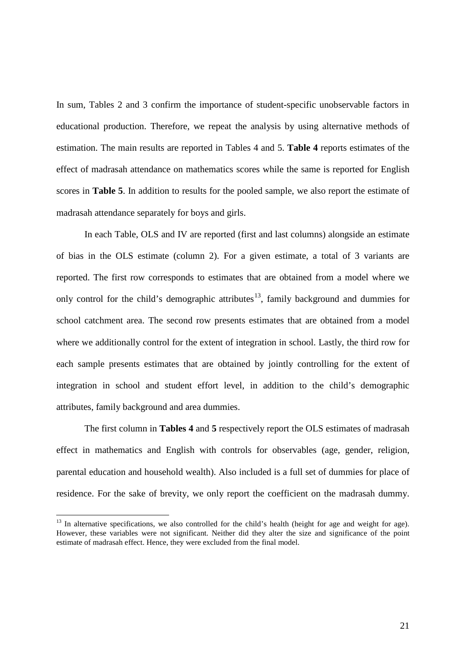In sum, Tables 2 and 3 confirm the importance of student-specific unobservable factors in educational production. Therefore, we repeat the analysis by using alternative methods of estimation. The main results are reported in Tables 4 and 5. **Table 4** reports estimates of the effect of madrasah attendance on mathematics scores while the same is reported for English scores in **Table 5**. In addition to results for the pooled sample, we also report the estimate of madrasah attendance separately for boys and girls.

In each Table, OLS and IV are reported (first and last columns) alongside an estimate of bias in the OLS estimate (column 2). For a given estimate, a total of 3 variants are reported. The first row corresponds to estimates that are obtained from a model where we only control for the child's demographic attributes<sup>[13](#page-17-1)</sup>, family background and dummies for school catchment area. The second row presents estimates that are obtained from a model where we additionally control for the extent of integration in school. Lastly, the third row for each sample presents estimates that are obtained by jointly controlling for the extent of integration in school and student effort level, in addition to the child's demographic attributes, family background and area dummies.

The first column in **Tables 4** and **5** respectively report the OLS estimates of madrasah effect in mathematics and English with controls for observables (age, gender, religion, parental education and household wealth). Also included is a full set of dummies for place of residence. For the sake of brevity, we only report the coefficient on the madrasah dummy.

<span id="page-23-0"></span><sup>&</sup>lt;sup>13</sup> In alternative specifications, we also controlled for the child's health (height for age and weight for age). However, these variables were not significant. Neither did they alter the size and significance of the point estimate of madrasah effect. Hence, they were excluded from the final model.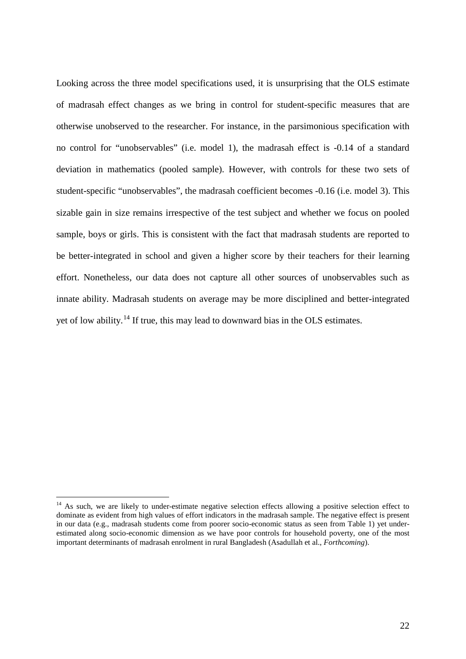Looking across the three model specifications used, it is unsurprising that the OLS estimate of madrasah effect changes as we bring in control for student-specific measures that are otherwise unobserved to the researcher. For instance, in the parsimonious specification with no control for "unobservables" (i.e. model 1), the madrasah effect is -0.14 of a standard deviation in mathematics (pooled sample). However, with controls for these two sets of student-specific "unobservables", the madrasah coefficient becomes -0.16 (i.e. model 3). This sizable gain in size remains irrespective of the test subject and whether we focus on pooled sample, boys or girls. This is consistent with the fact that madrasah students are reported to be better-integrated in school and given a higher score by their teachers for their learning effort. Nonetheless, our data does not capture all other sources of unobservables such as innate ability. Madrasah students on average may be more disciplined and better-integrated yet of low ability.[14](#page-23-0) If true, this may lead to downward bias in the OLS estimates.

<span id="page-24-0"></span><sup>&</sup>lt;sup>14</sup> As such, we are likely to under-estimate negative selection effects allowing a positive selection effect to dominate as evident from high values of effort indicators in the madrasah sample. The negative effect is present in our data (e.g., madrasah students come from poorer socio-economic status as seen from Table 1) yet underestimated along socio-economic dimension as we have poor controls for household poverty, one of the most important determinants of madrasah enrolment in rural Bangladesh (Asadullah et al., *Forthcoming*).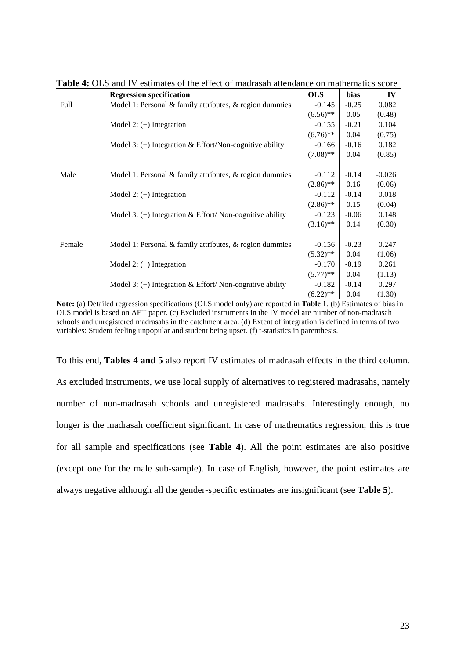|        | <b>Regression specification</b>                               | <b>OLS</b>  | bias    | IV       |
|--------|---------------------------------------------------------------|-------------|---------|----------|
| Full   | Model 1: Personal & family attributes, & region dummies       | $-0.145$    | $-0.25$ | 0.082    |
|        |                                                               | $(6.56)$ ** | 0.05    | (0.48)   |
|        | Model 2: $(+)$ Integration                                    | $-0.155$    | $-0.21$ | 0.104    |
|        |                                                               | $(6.76)$ ** | 0.04    | (0.75)   |
|        | Model 3: $(+)$ Integration & Effort/Non-cognitive ability     | $-0.166$    | $-0.16$ | 0.182    |
|        |                                                               | $(7.08)$ ** | 0.04    | (0.85)   |
| Male   | Model 1: Personal $\&$ family attributes, $\&$ region dummies | $-0.112$    | $-0.14$ | $-0.026$ |
|        |                                                               | $(2.86)$ ** | 0.16    | (0.06)   |
|        | Model 2: $(+)$ Integration                                    | $-0.112$    | $-0.14$ | 0.018    |
|        |                                                               | $(2.86)$ ** | 0.15    | (0.04)   |
|        | Model 3: $(+)$ Integration & Effort/Non-cognitive ability     | $-0.123$    | $-0.06$ | 0.148    |
|        |                                                               | $(3.16)$ ** | 0.14    | (0.30)   |
| Female | Model 1: Personal & family attributes, $\&$ region dummies    | $-0.156$    | $-0.23$ | 0.247    |
|        |                                                               | $(5.32)$ ** | 0.04    | (1.06)   |
|        | Model 2: $(+)$ Integration                                    | $-0.170$    | $-0.19$ | 0.261    |
|        |                                                               | $(5.77)$ ** | 0.04    | (1.13)   |
|        | Model 3: $(+)$ Integration & Effort/Non-cognitive ability     | $-0.182$    | $-0.14$ | 0.297    |
|        |                                                               | $(6.22)$ ** | 0.04    | (1.30)   |

**Table 4:** OLS and IV estimates of the effect of madrasah attendance on mathematics score

**Note:** (a) Detailed regression specifications (OLS model only) are reported in **Table 1**. (b) Estimates of bias in OLS model is based on AET paper. (c) Excluded instruments in the IV model are number of non-madrasah schools and unregistered madrasahs in the catchment area. (d) Extent of integration is defined in terms of two variables: Student feeling unpopular and student being upset. (f) t-statistics in parenthesis.

To this end, **Tables 4 and 5** also report IV estimates of madrasah effects in the third column. As excluded instruments, we use local supply of alternatives to registered madrasahs, namely number of non-madrasah schools and unregistered madrasahs. Interestingly enough, no longer is the madrasah coefficient significant. In case of mathematics regression, this is true for all sample and specifications (see **Table 4**). All the point estimates are also positive (except one for the male sub-sample). In case of English, however, the point estimates are always negative although all the gender-specific estimates are insignificant (see **Table 5**).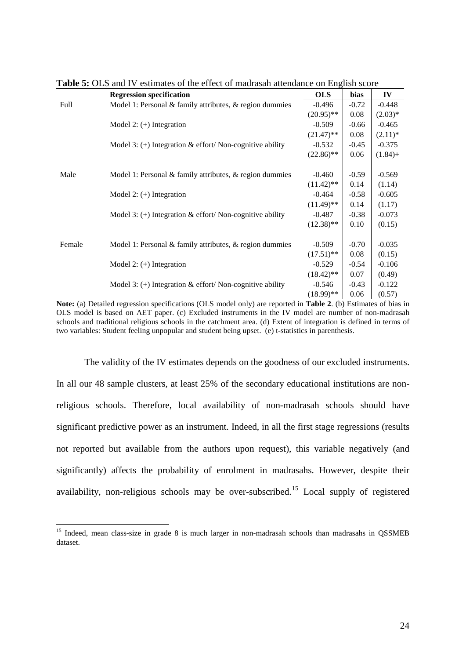|        | <b>Regression specification</b>                               | <b>OLS</b>   | bias    | IV         |
|--------|---------------------------------------------------------------|--------------|---------|------------|
| Full   | Model 1: Personal & family attributes, & region dummies       | $-0.496$     | $-0.72$ | $-0.448$   |
|        |                                                               | $(20.95)$ ** | 0.08    | $(2.03)*$  |
|        | Model 2: $(+)$ Integration                                    | $-0.509$     | $-0.66$ | $-0.465$   |
|        |                                                               | $(21.47)$ ** | 0.08    | $(2.11)^*$ |
|        | Model 3: $(+)$ Integration & effort/Non-cognitive ability     | $-0.532$     | $-0.45$ | $-0.375$   |
|        |                                                               | $(22.86)$ ** | 0.06    | $(1.84) +$ |
|        |                                                               |              |         |            |
| Male   | Model 1: Personal $\&$ family attributes, $\&$ region dummies | $-0.460$     | $-0.59$ | $-0.569$   |
|        |                                                               | $(11.42)$ ** | 0.14    | (1.14)     |
|        | Model 2: $(+)$ Integration                                    | $-0.464$     | $-0.58$ | $-0.605$   |
|        |                                                               | $(11.49)$ ** | 0.14    | (1.17)     |
|        | Model 3: $(+)$ Integration & effort/Non-cognitive ability     | $-0.487$     | $-0.38$ | $-0.073$   |
|        |                                                               | $(12.38)$ ** | 0.10    | (0.15)     |
|        |                                                               |              |         |            |
| Female | Model 1: Personal $\&$ family attributes, $\&$ region dummies | $-0.509$     | $-0.70$ | $-0.035$   |
|        |                                                               | $(17.51)$ ** | 0.08    | (0.15)     |
|        | Model 2: $(+)$ Integration                                    | $-0.529$     | $-0.54$ | $-0.106$   |
|        |                                                               | $(18.42)$ ** | 0.07    | (0.49)     |
|        | Model 3: $(+)$ Integration & effort/ Non-cognitive ability    | $-0.546$     | $-0.43$ | $-0.122$   |
|        |                                                               | $(18.99)$ ** | 0.06    | (0.57)     |

**Table 5:** OLS and IV estimates of the effect of madrasah attendance on English score

**Note:** (a) Detailed regression specifications (OLS model only) are reported in **Table 2**. (b) Estimates of bias in OLS model is based on AET paper. (c) Excluded instruments in the IV model are number of non-madrasah schools and traditional religious schools in the catchment area. (d) Extent of integration is defined in terms of two variables: Student feeling unpopular and student being upset. (e) t-statistics in parenthesis.

The validity of the IV estimates depends on the goodness of our excluded instruments. In all our 48 sample clusters, at least 25% of the secondary educational institutions are nonreligious schools. Therefore, local availability of non-madrasah schools should have significant predictive power as an instrument. Indeed, in all the first stage regressions (results not reported but available from the authors upon request), this variable negatively (and significantly) affects the probability of enrolment in madrasahs. However, despite their availability, non-religious schools may be over-subscribed.<sup>[15](#page-24-0)</sup> Local supply of registered

<span id="page-26-0"></span><sup>&</sup>lt;sup>15</sup> Indeed, mean class-size in grade 8 is much larger in non-madrasah schools than madrasahs in QSSMEB dataset.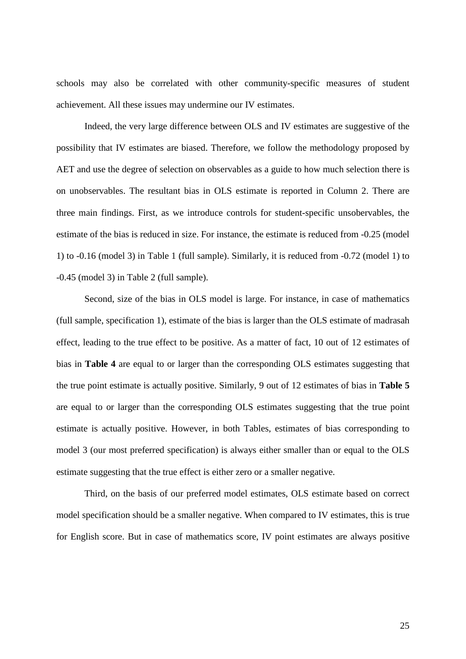schools may also be correlated with other community-specific measures of student achievement. All these issues may undermine our IV estimates.

Indeed, the very large difference between OLS and IV estimates are suggestive of the possibility that IV estimates are biased. Therefore, we follow the methodology proposed by AET and use the degree of selection on observables as a guide to how much selection there is on unobservables. The resultant bias in OLS estimate is reported in Column 2. There are three main findings. First, as we introduce controls for student-specific unsobervables, the estimate of the bias is reduced in size. For instance, the estimate is reduced from -0.25 (model 1) to -0.16 (model 3) in Table 1 (full sample). Similarly, it is reduced from -0.72 (model 1) to -0.45 (model 3) in Table 2 (full sample).

Second, size of the bias in OLS model is large. For instance, in case of mathematics (full sample, specification 1), estimate of the bias is larger than the OLS estimate of madrasah effect, leading to the true effect to be positive. As a matter of fact, 10 out of 12 estimates of bias in **Table 4** are equal to or larger than the corresponding OLS estimates suggesting that the true point estimate is actually positive. Similarly, 9 out of 12 estimates of bias in **Table 5** are equal to or larger than the corresponding OLS estimates suggesting that the true point estimate is actually positive. However, in both Tables, estimates of bias corresponding to model 3 (our most preferred specification) is always either smaller than or equal to the OLS estimate suggesting that the true effect is either zero or a smaller negative.

Third, on the basis of our preferred model estimates, OLS estimate based on correct model specification should be a smaller negative. When compared to IV estimates, this is true for English score. But in case of mathematics score, IV point estimates are always positive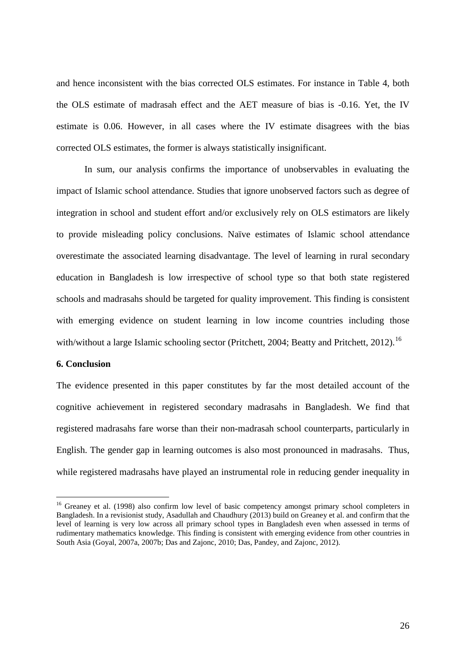and hence inconsistent with the bias corrected OLS estimates. For instance in Table 4, both the OLS estimate of madrasah effect and the AET measure of bias is -0.16. Yet, the IV estimate is 0.06. However, in all cases where the IV estimate disagrees with the bias corrected OLS estimates, the former is always statistically insignificant.

In sum, our analysis confirms the importance of unobservables in evaluating the impact of Islamic school attendance. Studies that ignore unobserved factors such as degree of integration in school and student effort and/or exclusively rely on OLS estimators are likely to provide misleading policy conclusions. Naïve estimates of Islamic school attendance overestimate the associated learning disadvantage. The level of learning in rural secondary education in Bangladesh is low irrespective of school type so that both state registered schools and madrasahs should be targeted for quality improvement. This finding is consistent with emerging evidence on student learning in low income countries including those with/without a large Islamic schooling sector (Pritchett, 2004; Beatty and Pritchett, 2012).<sup>[16](#page-26-0)</sup>

#### **6. Conclusion**

The evidence presented in this paper constitutes by far the most detailed account of the cognitive achievement in registered secondary madrasahs in Bangladesh. We find that registered madrasahs fare worse than their non-madrasah school counterparts, particularly in English. The gender gap in learning outcomes is also most pronounced in madrasahs. Thus, while registered madrasahs have played an instrumental role in reducing gender inequality in

<sup>&</sup>lt;sup>16</sup> Greaney et al. (1998) also confirm low level of basic competency amongst primary school completers in Bangladesh. In a revisionist study, Asadullah and Chaudhury (2013) build on Greaney et al. and confirm that the level of learning is very low across all primary school types in Bangladesh even when assessed in terms of rudimentary mathematics knowledge. This finding is consistent with emerging evidence from other countries in South Asia (Goyal, 2007a, 2007b; Das and Zajonc, 2010; Das, Pandey, and Zajonc, 2012).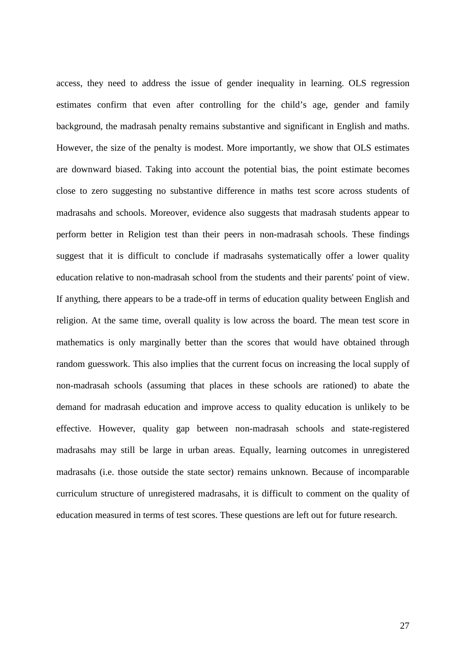access, they need to address the issue of gender inequality in learning. OLS regression estimates confirm that even after controlling for the child's age, gender and family background, the madrasah penalty remains substantive and significant in English and maths. However, the size of the penalty is modest. More importantly, we show that OLS estimates are downward biased. Taking into account the potential bias, the point estimate becomes close to zero suggesting no substantive difference in maths test score across students of madrasahs and schools. Moreover, evidence also suggests that madrasah students appear to perform better in Religion test than their peers in non-madrasah schools. These findings suggest that it is difficult to conclude if madrasahs systematically offer a lower quality education relative to non-madrasah school from the students and their parents' point of view. If anything, there appears to be a trade-off in terms of education quality between English and religion. At the same time, overall quality is low across the board. The mean test score in mathematics is only marginally better than the scores that would have obtained through random guesswork. This also implies that the current focus on increasing the local supply of non-madrasah schools (assuming that places in these schools are rationed) to abate the demand for madrasah education and improve access to quality education is unlikely to be effective. However, quality gap between non-madrasah schools and state-registered madrasahs may still be large in urban areas. Equally, learning outcomes in unregistered madrasahs (i.e. those outside the state sector) remains unknown. Because of incomparable curriculum structure of unregistered madrasahs, it is difficult to comment on the quality of education measured in terms of test scores. These questions are left out for future research.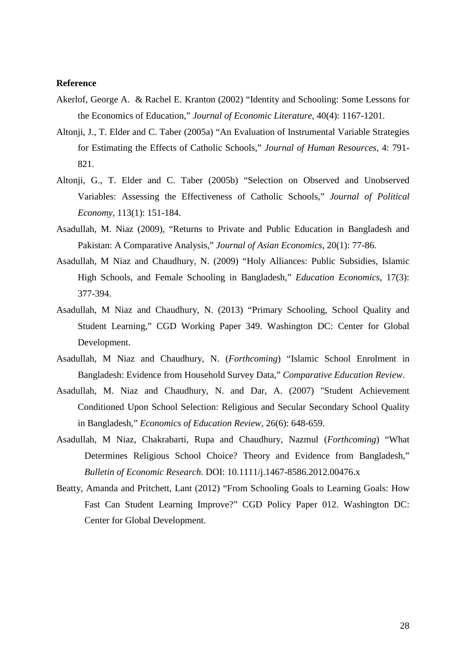#### **Reference**

- Akerlof, George A. & Rachel E. Kranton (2002) ["Identity and Schooling: Some Lessons for](http://ideas.repec.org/a/aea/jeclit/v40y2002i4p1167-1201.html)  [the Economics of Education,](http://ideas.repec.org/a/aea/jeclit/v40y2002i4p1167-1201.html)" *[Journal of Economic Literature](http://ideas.repec.org/s/aea/jeclit.html)*, 40(4): 1167-1201.
- Altonji, J., T. Elder and C. Taber (2005a) "An Evaluation of Instrumental Variable Strategies for Estimating the Effects of Catholic Schools," *Journal of Human Resources,* 4: 791- 821.
- Altonji, G., T. Elder and C. Taber (2005b) "Selection on Observed and Unobserved Variables: Assessing the Effectiveness of Catholic Schools," *Journal of Political Economy*, 113(1): 151-184.
- Asadullah, M. Niaz (2009), "Returns to Private and Public Education in Bangladesh and Pakistan: A Comparative Analysis," *Journal of Asian Economics*, 20(1): 77-86.
- Asadullah, M Niaz and Chaudhury, N. (2009) "Holy Alliances: Public Subsidies, Islamic High Schools, and Female Schooling in Bangladesh," *Education Economics*, 17(3): 377-394.
- Asadullah, M Niaz and Chaudhury, N. (2013) "Primary Schooling, School Quality and Student Learning," CGD Working Paper 349. Washington DC: Center for Global Development.
- Asadullah, M Niaz and Chaudhury, N. (*Forthcoming*) "Islamic School Enrolment in Bangladesh: Evidence from Household Survey Data," *Comparative Education Review*.
- Asadullah, M. Niaz and Chaudhury, N. and Dar, A. (2007) "Student Achievement Conditioned Upon School Selection: Religious and Secular Secondary School Quality in Bangladesh," *Economics of Education Review*, 26(6): 648-659.
- Asadullah, M Niaz, Chakrabarti, Rupa and Chaudhury, Nazmul (*Forthcoming*) "What Determines Religious School Choice? Theory and Evidence from Bangladesh," *Bulletin of Economic Research*. DOI: 10.1111/j.1467-8586.2012.00476.x
- Beatty, Amanda and Pritchett, Lant (2012) "From Schooling Goals to Learning Goals: How Fast Can Student Learning Improve?" CGD Policy Paper 012. Washington DC: Center for Global Development.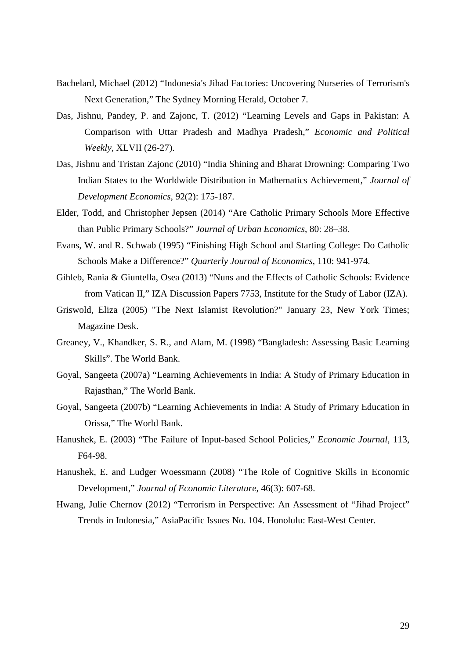- Bachelard, Michael (2012) "Indonesia's Jihad Factories: Uncovering Nurseries of Terrorism's Next Generation," The Sydney Morning Herald, October 7.
- Das, Jishnu, Pandey, P. and Zajonc, T. (2012) "Learning Levels and Gaps in Pakistan: A Comparison with Uttar Pradesh and Madhya Pradesh," *Economic and Political Weekly,* XLVII (26-27).
- Das, Jishnu and Tristan Zajonc (2010) "India Shining and Bharat Drowning: Comparing Two Indian States to the Worldwide Distribution in Mathematics Achievement," *[Journal of](http://ideas.repec.org/s/eee/deveco.html)  [Development Economics](http://ideas.repec.org/s/eee/deveco.html)*, 92(2): 175-187.
- Elder, Todd, and Christopher Jepsen (2014) "Are Catholic Primary Schools More Effective than Public Primary Schools?" *Journal of Urban Economics*, 80: 28–38.
- Evans, W. and R. Schwab (1995) "Finishing High School and Starting College: Do Catholic Schools Make a Difference?" *Quarterly Journal of Economics*, 110: 941-974.
- Gihleb, Rania & Giuntella, Osea (2013) "Nuns and the Effects of Catholic Schools: Evidence from Vatican II," IZA Discussion Papers 7753, Institute for the Study of Labor (IZA).
- Griswold, Eliza (2005) "The Next Islamist Revolution?" January 23, New York Times; Magazine Desk.
- Greaney, V., Khandker, S. R., and Alam, M. (1998) "Bangladesh: Assessing Basic Learning Skills". The World Bank.
- Goyal, Sangeeta (2007a) "Learning Achievements in India: A Study of Primary Education in Rajasthan," The World Bank.
- Goyal, Sangeeta (2007b) "Learning Achievements in India: A Study of Primary Education in Orissa," The World Bank.
- Hanushek, E. (2003) "The Failure of Input-based School Policies," *Economic Journal*, 113, F64-98.
- Hanushek, E. and Ludger Woessmann (2008) "The Role of Cognitive Skills in Economic Development," *Journal of Economic Literature*, 46(3): 607-68.
- Hwang, Julie Chernov (2012) "Terrorism in Perspective: An Assessment of "Jihad Project" Trends in Indonesia," AsiaPacific Issues No. 104. Honolulu: East-West Center.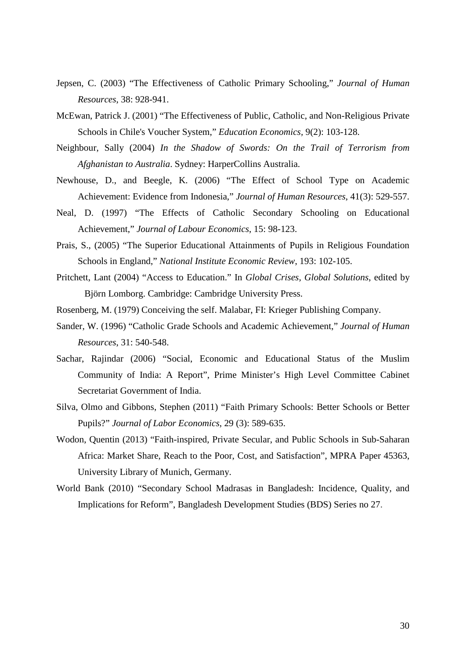- Jepsen, C. (2003) "The Effectiveness of Catholic Primary Schooling," *Journal of Human Resources*, 38: 928-941.
- McEwan, Patrick J. (2001) "The Effectiveness of Public, Catholic, and Non-Religious Private Schools in Chile's Voucher System," *Education Economics,* 9(2): 103-128.
- Neighbour, Sally (2004) *In the Shadow of Swords: On the Trail of Terrorism from Afghanistan to Australia*. Sydney: HarperCollins Australia.
- Newhouse, D., and Beegle, K. (2006) "The Effect of School Type on Academic Achievement: Evidence from Indonesia," *Journal of Human Resources*, 41(3): 529-557.
- Neal, D. (1997) "The Effects of Catholic Secondary Schooling on Educational Achievement," *Journal of Labour Economics*, 15: 98-123.
- Prais, S., (2005) "The Superior Educational Attainments of Pupils in Religious Foundation Schools in England," *National Institute Economic Review*, 193: 102-105.
- Pritchett, Lant (2004) "Access to Education." In *Global Crises, Global Solutions*, edited by Björn Lomborg. Cambridge: Cambridge University Press.
- Rosenberg, M. (1979) Conceiving the self. Malabar, FI: Krieger Publishing Company.
- Sander, W. (1996) "Catholic Grade Schools and Academic Achievement," *Journal of Human Resources*, 31: 540-548.
- Sachar, Rajindar (2006) "Social, Economic and Educational Status of the Muslim Community of India: A Report", Prime Minister's High Level Committee Cabinet Secretariat Government of India.
- Silva, Olmo and Gibbons, Stephen (2011) "Faith Primary Schools: Better Schools or Better Pupils?" *Journal of Labor Economics*, 29 (3): 589-635.
- Wodon, Quentin (2013) "Faith-inspired, Private Secular, and Public Schools in Sub-Saharan Africa: Market Share, Reach to the Poor, Cost, and Satisfaction", MPRA Paper 45363, University Library of Munich, Germany.
- World Bank (2010) "Secondary School Madrasas in Bangladesh: Incidence, Quality, and Implications for Reform", Bangladesh Development Studies (BDS) Series no 27.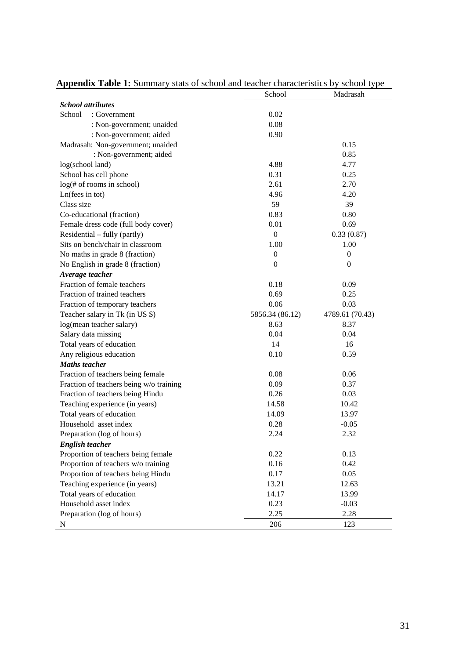|                                         | School           | Madrasah         |
|-----------------------------------------|------------------|------------------|
| <b>School</b> attributes                |                  |                  |
| School<br>: Government                  | 0.02             |                  |
| : Non-government; unaided               | 0.08             |                  |
| : Non-government; aided                 | 0.90             |                  |
| Madrasah: Non-government; unaided       |                  | 0.15             |
| : Non-government; aided                 |                  | 0.85             |
| log(school land)                        | 4.88             | 4.77             |
| School has cell phone                   | 0.31             | 0.25             |
| log(f# of rooms in school)              | 2.61             | 2.70             |
| Ln(fees in tot)                         | 4.96             | 4.20             |
| Class size                              | 59               | 39               |
| Co-educational (fraction)               | 0.83             | 0.80             |
| Female dress code (full body cover)     | 0.01             | 0.69             |
| Residential – fully (partly)            | $\boldsymbol{0}$ | 0.33(0.87)       |
| Sits on bench/chair in classroom        | 1.00             | 1.00             |
| No maths in grade 8 (fraction)          | $\mathbf{0}$     | $\boldsymbol{0}$ |
| No English in grade 8 (fraction)        | $\overline{0}$   | $\mathbf{0}$     |
| Average teacher                         |                  |                  |
| Fraction of female teachers             | 0.18             | 0.09             |
| Fraction of trained teachers            | 0.69             | 0.25             |
| Fraction of temporary teachers          | 0.06             | 0.03             |
| Teacher salary in Tk (in US \$)         | 5856.34 (86.12)  | 4789.61 (70.43)  |
| log(mean teacher salary)                | 8.63             | 8.37             |
| Salary data missing                     | 0.04             | 0.04             |
| Total years of education                | 14               | 16               |
| Any religious education                 | 0.10             | 0.59             |
| <b>Maths teacher</b>                    |                  |                  |
| Fraction of teachers being female       | 0.08             | 0.06             |
| Fraction of teachers being w/o training | 0.09             | 0.37             |
| Fraction of teachers being Hindu        | 0.26             | 0.03             |
| Teaching experience (in years)          | 14.58            | 10.42            |
| Total years of education                | 14.09            | 13.97            |
| Household asset index                   | 0.28             | $-0.05$          |
| Preparation (log of hours)              | 2.24             | 2.32             |
| <b>English teacher</b>                  |                  |                  |
| Proportion of teachers being female     | 0.22             | 0.13             |
| Proportion of teachers w/o training     | 0.16             | 0.42             |
| Proportion of teachers being Hindu      | 0.17             | 0.05             |
| Teaching experience (in years)          | 13.21            | 12.63            |
| Total years of education                | 14.17            | 13.99            |
| Household asset index                   | 0.23             | $-0.03$          |
| Preparation (log of hours)              | 2.25             | 2.28             |
| N                                       | 206              | 123              |

## **Appendix Table 1:** Summary stats of school and teacher characteristics by school type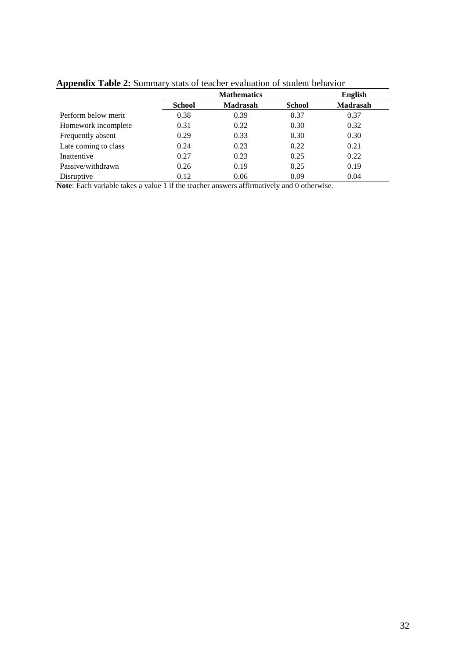|                      |               | <b>English</b>  |               |                 |
|----------------------|---------------|-----------------|---------------|-----------------|
|                      | <b>School</b> | <b>Madrasah</b> | <b>School</b> | <b>Madrasah</b> |
| Perform below merit  | 0.38          | 0.39            | 0.37          | 0.37            |
| Homework incomplete  | 0.31          | 0.32            | 0.30          | 0.32            |
| Frequently absent    | 0.29          | 0.33            | 0.30          | 0.30            |
| Late coming to class | 0.24          | 0.23            | 0.22          | 0.21            |
| Inattentive          | 0.27          | 0.23            | 0.25          | 0.22            |
| Passive/withdrawn    | 0.26          | 0.19            | 0.25          | 0.19            |
| Disruptive           | 0.12          | 0.06            | 0.09          | 0.04            |

**Appendix Table 2:** Summary stats of teacher evaluation of student behavior

**Note**: Each variable takes a value 1 if the teacher answers affirmatively and 0 otherwise.